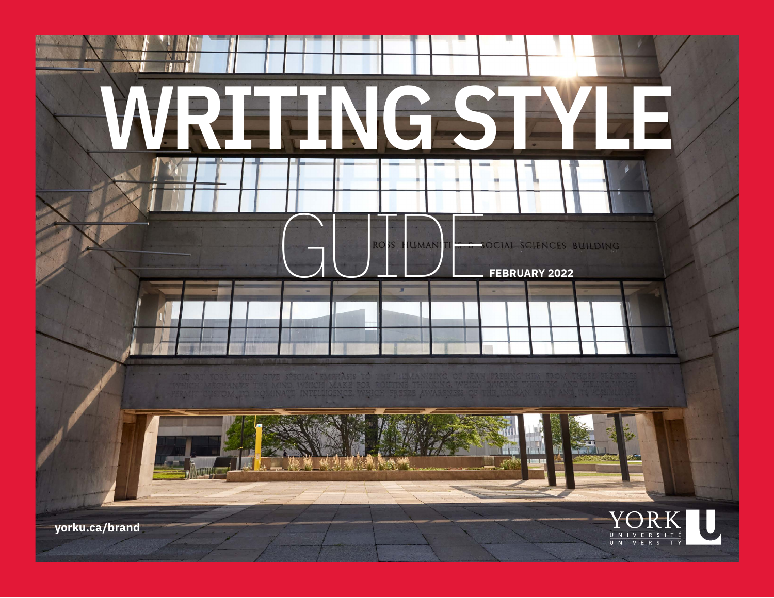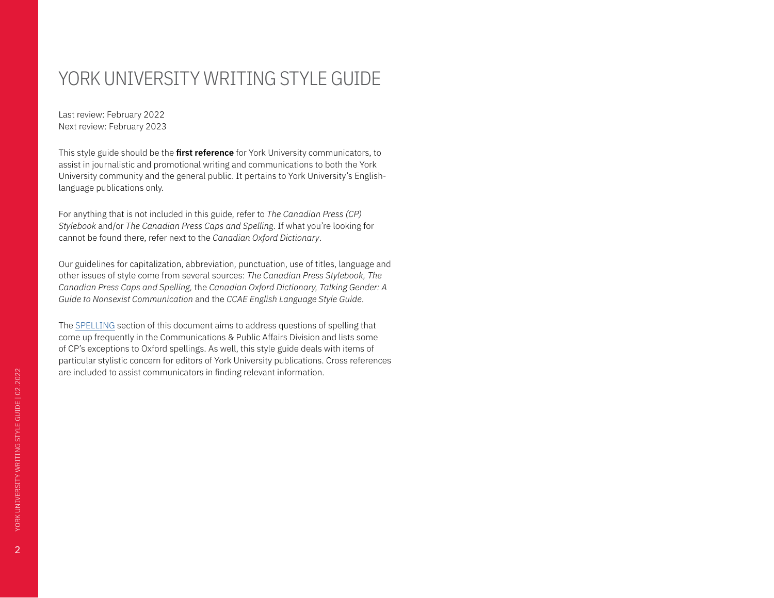# <span id="page-1-0"></span>YORK UNIVERSITY WRITING STYLE GUIDE

Last review: February 2022 Next review: February 2023

This style guide should be the **first reference** for York University communicators, to assist in journalistic and promotional writing and communications to both the York University community and the general public. It pertains to York University's Englishlanguage publications only.

For anything that is not included in this guide, refer to *The Canadian Press (CP) Stylebook* and/or *The Canadian Press Caps and Spelling*. If what you're looking for cannot be found there, refer next to the *Canadian Oxford Dictionary*.

Our guidelines for capitalization, abbreviation, punctuation, use of titles, language and other issues of style come from several sources: *The Canadian Press Stylebook, The Canadian Press Caps and Spelling,* the *Canadian Oxford Dictionary, Talking Gender: A Guide to Nonsexist Communication* and the *CCAE English Language Style Guide*.

The SPELLING section of this document aims to address questions of spelling that come up frequently in the Communications & Public Affairs Division and lists some of CP's exceptions to Oxford spellings. As well, this style guide deals with items of particular stylistic concern for editors of York University publications. Cross references are included to assist communicators in finding relevant information.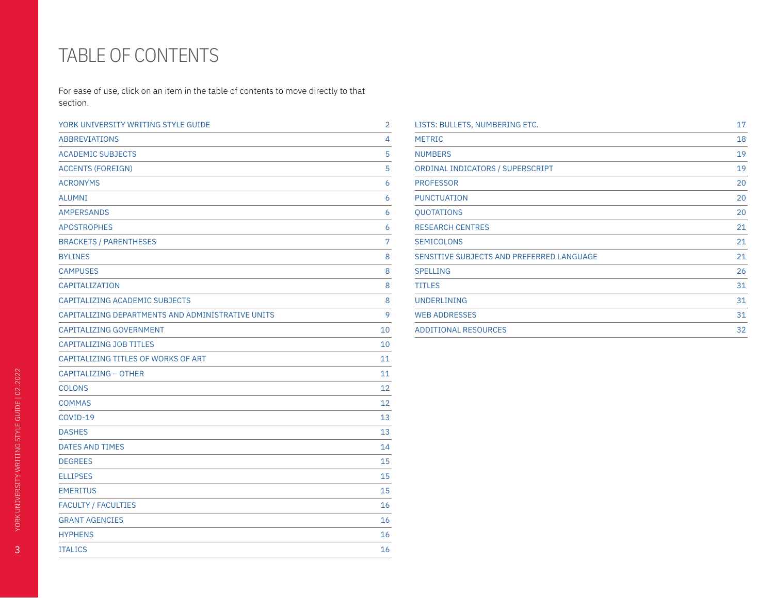# TABLE OF CONTENTS

For ease of use, click on an item in the table of contents to move directly to that section.

| YORK UNIVERSITY WRITING STYLE GUIDE               | 2  |
|---------------------------------------------------|----|
| <b>ABBREVIATIONS</b>                              | 4  |
| <b>ACADEMIC SUBJECTS</b>                          | 5  |
| <b>ACCENTS (FOREIGN)</b>                          | 5  |
| <b>ACRONYMS</b>                                   | 6  |
| <b>ALUMNI</b>                                     | 6  |
| <b>AMPERSANDS</b>                                 | 6  |
| <b>APOSTROPHES</b>                                | 6  |
| <b>BRACKETS / PARENTHESES</b>                     | 7  |
| <b>BYLINES</b>                                    | 8  |
| <b>CAMPUSES</b>                                   | 8  |
| CAPITALIZATION                                    | 8  |
| CAPITALIZING ACADEMIC SUBJECTS                    | 8  |
| CAPITALIZING DEPARTMENTS AND ADMINISTRATIVE UNITS | 9  |
| CAPITALIZING GOVERNMENT                           | 10 |
| <b>CAPITALIZING JOB TITLES</b>                    | 10 |
| CAPITALIZING TITLES OF WORKS OF ART               | 11 |
| CAPITALIZING - OTHER                              | 11 |
| <b>COLONS</b>                                     | 12 |
| <b>COMMAS</b>                                     | 12 |
| COVID-19                                          | 13 |
| <b>DASHES</b>                                     | 13 |
| DATES AND TIMES                                   | 14 |
| <b>DEGREES</b>                                    | 15 |
| <b>ELLIPSES</b>                                   | 15 |
| <b>EMERITUS</b>                                   | 15 |
| <b>FACULTY / FACULTIES</b>                        | 16 |
| <b>GRANT AGENCIES</b>                             | 16 |
| <b>HYPHENS</b>                                    | 16 |
| <b>ITALICS</b>                                    | 16 |
|                                                   |    |

| LISTS: BULLETS, NUMBERING ETC.            | 17 |
|-------------------------------------------|----|
| <b>METRIC</b>                             | 18 |
| <b>NUMBERS</b>                            | 19 |
| ORDINAL INDICATORS / SUPERSCRIPT          | 19 |
| <b>PROFESSOR</b>                          | 20 |
| <b>PUNCTUATION</b>                        | 20 |
| <b>QUOTATIONS</b>                         | 20 |
| <b>RESEARCH CENTRES</b>                   | 21 |
| <b>SEMICOLONS</b>                         | 21 |
| SENSITIVE SUBJECTS AND PREFERRED LANGUAGE | 21 |
| <b>SPELLING</b>                           | 26 |
| <b>TITLES</b>                             | 31 |
| <b>UNDERLINING</b>                        | 31 |
| <b>WEB ADDRESSES</b>                      | 31 |
| <b>ADDITIONAL RESOURCES</b>               | 32 |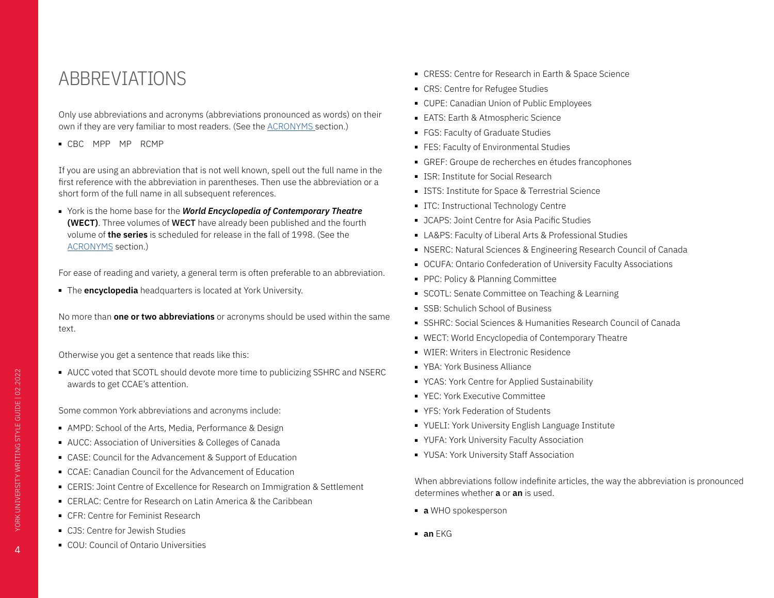## <span id="page-3-1"></span><span id="page-3-0"></span>ABBREVIATIONS

Only use abbreviations and acronyms (abbreviations pronounced as words) on their own if they are very familiar to most readers. (See the [ACRONYMS](#page-5-1) section.)

■ CBC MPP MP RCMP

If you are using an abbreviation that is not well known, spell out the full name in the first reference with the abbreviation in parentheses. Then use the abbreviation or a short form of the full name in all subsequent references.

■ York is the home base for the *World Encyclopedia of Contemporary Theatre* **(WECT)**. Three volumes of WECT have already been published and the fourth volume of **the series** is scheduled for release in the fall of 1998. (See the [ACRONYMS](#page-5-1) section.)

For ease of reading and variety, a general term is often preferable to an abbreviation.

■ The **encyclopedia** headquarters is located at York University.

No more than **one or two abbreviations** or acronyms should be used within the same text.

Otherwise you get a sentence that reads like this:

■ AUCC voted that SCOTL should devote more time to publicizing SSHRC and NSERC awards to get CCAE's attention.

Some common York abbreviations and acronyms include:

- AMPD: School of the Arts, Media, Performance & Design
- AUCC: Association of Universities & Colleges of Canada
- CASE: Council for the Advancement & Support of Education
- CCAE: Canadian Council for the Advancement of Education
- CERIS: Joint Centre of Excellence for Research on Immigration & Settlement
- CERLAC: Centre for Research on Latin America & the Caribbean
- CFR: Centre for Feminist Research
- CJS: Centre for Jewish Studies
- COU: Council of Ontario Universities
- CRESS: Centre for Research in Earth & Space Science
- CRS: Centre for Refugee Studies
- CUPE: Canadian Union of Public Employees
- EATS: Earth & Atmospheric Science
- FGS: Faculty of Graduate Studies
- FES: Faculty of Environmental Studies
- GREF: Groupe de recherches en études francophones
- ISR: Institute for Social Research
- ISTS: Institute for Space & Terrestrial Science
- ITC: Instructional Technology Centre
- JCAPS: Joint Centre for Asia Pacific Studies
- LA&PS: Faculty of Liberal Arts & Professional Studies
- NSERC: Natural Sciences & Engineering Research Council of Canada
- OCUFA: Ontario Confederation of University Faculty Associations
- PPC: Policy & Planning Committee
- SCOTL: Senate Committee on Teaching & Learning
- SSB: Schulich School of Business
- SSHRC: Social Sciences & Humanities Research Council of Canada
- WECT: World Encyclopedia of Contemporary Theatre
- WIER: Writers in Electronic Residence
- YBA: York Business Alliance
- YCAS: York Centre for Applied Sustainability
- YEC: York Executive Committee
- YFS: York Federation of Students
- YUELI: York University English Language Institute
- YUFA: York University Faculty Association
- YUSA: York University Staff Association

When abbreviations follow indefinite articles, the way the abbreviation is pronounced determines whether **a** or **an** is used.

- **a** WHO spokesperson
- **an** EKG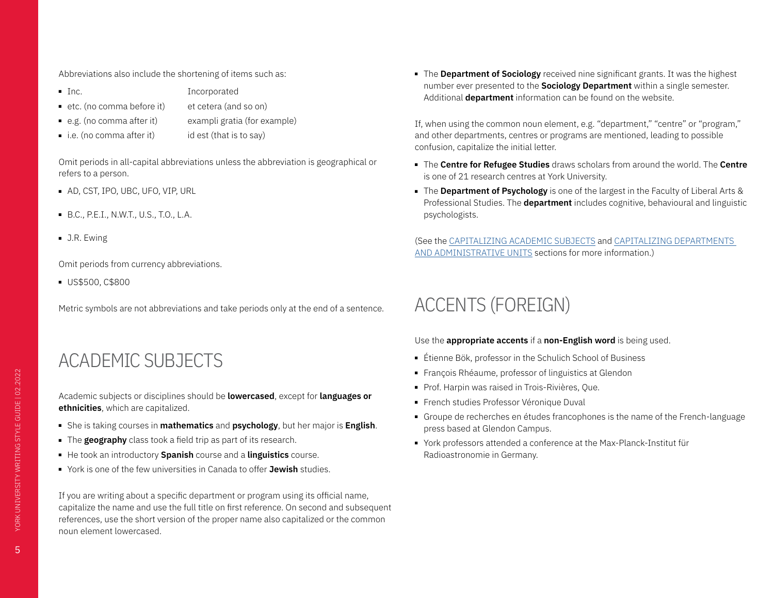<span id="page-4-0"></span>Abbreviations also include the shortening of items such as:

- Inc. Incorporated
- etc. (no comma before it) et cetera (and so on)
- e.g. (no comma after it) exampli gratia (for example)
- i.e. (no comma after it) id est (that is to say)

Omit periods in all-capital abbreviations unless the abbreviation is geographical or refers to a person.

- AD, CST, IPO, UBC, UFO, VIP, URL
- B.C., P.E.I., N.W.T., U.S., T.O., L.A.
- J.R. Ewing

Omit periods from currency abbreviations.

■ US\$500, C\$800

Metric symbols are not abbreviations and take periods only at the end of a sentence.

# <span id="page-4-1"></span>ACADEMIC SUBJECTS

Academic subjects or disciplines should be **lowercased**, except for **languages or ethnicities**, which are capitalized.

- She is taking courses in **mathematics** and **psychology**, but her major is **English**.
- The **geography** class took a field trip as part of its research.
- He took an introductory **Spanish** course and a **linguistics** course.
- York is one of the few universities in Canada to offer **Jewish** studies.

If you are writing about a specific department or program using its official name, capitalize the name and use the full title on first reference. On second and subsequent references, use the short version of the proper name also capitalized or the common noun element lowercased.

■ The **Department of Sociology** received nine significant grants. It was the highest number ever presented to the **Sociology Department** within a single semester. Additional **department** information can be found on the website.

If, when using the common noun element, e.g. "department," "centre" or "program," and other departments, centres or programs are mentioned, leading to possible confusion, capitalize the initial letter.

- The **Centre for Refugee Studies** draws scholars from around the world. The **Centre**  is one of 21 research centres at York University.
- The **Department of Psychology** is one of the largest in the Faculty of Liberal Arts & Professional Studies. The **department** includes cognitive, behavioural and linguistic psychologists.

(See the [CAPITALIZING ACADEMIC SUBJECTS](#page-7-1) and CAPITALIZING DEPARTMENTS AND ADMINISTRATIVE UNITS sections for more information.)

# ACCENTS (FOREIGN)

### Use the **appropriate accents** if a **non-English word** is being used.

- Étienne Bök, professor in the Schulich School of Business
- François Rhéaume, professor of linguistics at Glendon
- Prof. Harpin was raised in Trois-Rivières, Que.
- French studies Professor Véronique Duval
- Groupe de recherches en études francophones is the name of the French-language press based at Glendon Campus.
- York professors attended a conference at the Max-Planck-Institut für Radioastronomie in Germany.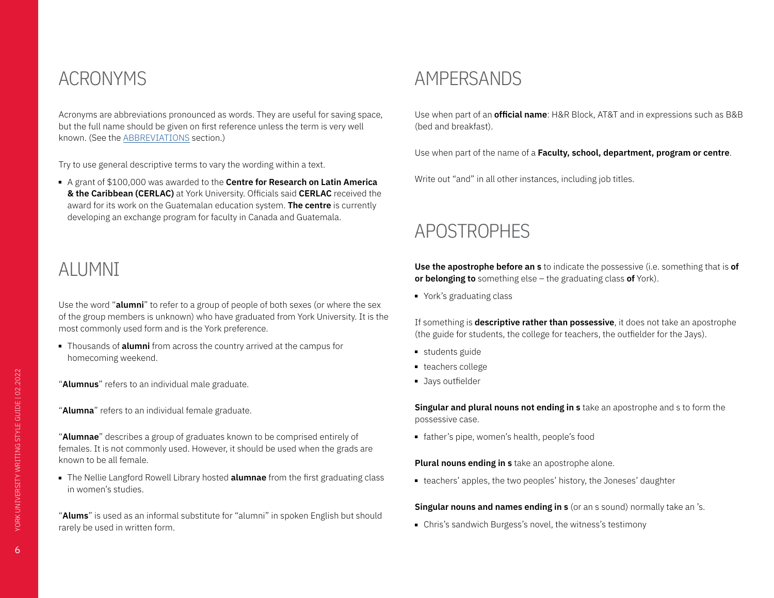## <span id="page-5-1"></span><span id="page-5-0"></span>ACRONYMS

Acronyms are abbreviations pronounced as words. They are useful for saving space, but the full name should be given on first reference unless the term is very well known. (See the [ABBREVIATIONS](#page-3-1) section.)

Try to use general descriptive terms to vary the wording within a text.

■ A grant of \$100,000 was awarded to the **Centre for Research on Latin America & the Caribbean (CERLAC)** at York University. Officials said **CERLAC** received the award for its work on the Guatemalan education system. **The centre** is currently developing an exchange program for faculty in Canada and Guatemala.

# <span id="page-5-2"></span>ALUMNI

Use the word "**alumni**" to refer to a group of people of both sexes (or where the sex of the group members is unknown) who have graduated from York University. It is the most commonly used form and is the York preference.

- Thousands of **alumni** from across the country arrived at the campus for homecoming weekend.
- "**Alumnus**" refers to an individual male graduate.
- "**Alumna**" refers to an individual female graduate.

"**Alumnae**" describes a group of graduates known to be comprised entirely of females. It is not commonly used. However, it should be used when the grads are known to be all female.

■ The Nellie Langford Rowell Library hosted **alumnae** from the first graduating class in women's studies.

"**Alums**" is used as an informal substitute for "alumni" in spoken English but should rarely be used in written form.

### AMPERSANDS

Use when part of an **official name**: H&R Block, AT&T and in expressions such as B&B (bed and breakfast).

Use when part of the name of a **Faculty, school, department, program or centre**.

Write out "and" in all other instances, including job titles.

### APOSTROPHES

**Use the apostrophe before an s** to indicate the possessive (i.e. something that is **of or belonging to** something else – the graduating class **of** York).

■ York's graduating class

If something is **descriptive rather than possessive**, it does not take an apostrophe (the guide for students, the college for teachers, the outfielder for the Jays).

- students guide
- teachers college
- Jays outfielder

**Singular and plural nouns not ending in s** take an apostrophe and s to form the possessive case.

■ father's pipe, women's health, people's food

#### **Plural nouns ending in s** take an apostrophe alone.

■ teachers' apples, the two peoples' history, the Joneses' daughter

**Singular nouns and names ending in s** (or an s sound) normally take an 's.

■ Chris's sandwich Burgess's novel, the witness's testimony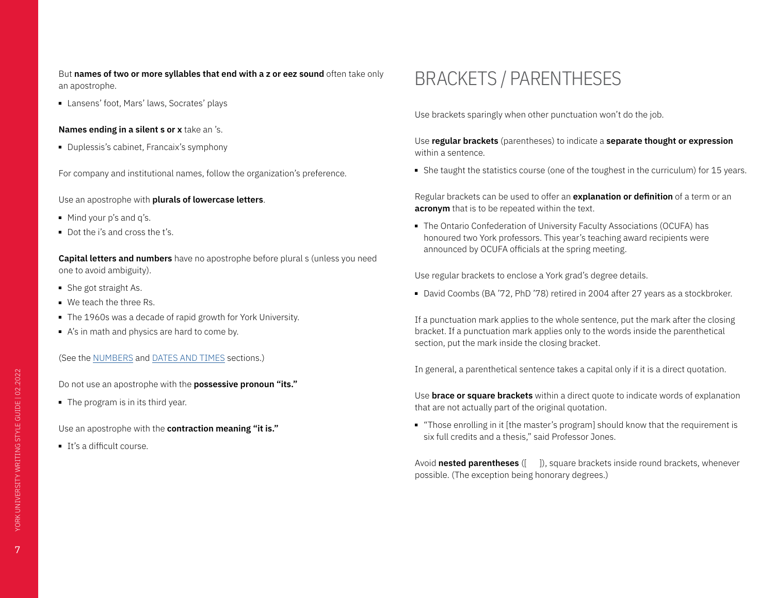<span id="page-6-0"></span>But **names of two or more syllables that end with a z or eez sound** often take only an apostrophe.

■ Lansens' foot, Mars' laws, Socrates' plays

**Names ending in a silent s or x** take an 's.

■ Duplessis's cabinet, Francaix's symphony

For company and institutional names, follow the organization's preference.

Use an apostrophe with **plurals of lowercase letters**.

- Mind your p's and q's.
- Dot the i's and cross the t's.

**Capital letters and numbers** have no apostrophe before plural s (unless you need one to avoid ambiguity).

- She got straight As.
- We teach the three Rs.
- The 1960s was a decade of rapid growth for York University.
- A's in math and physics are hard to come by.

(See the NUMBERS and DATES AND TIMES sections.)

Do not use an apostrophe with the **possessive pronoun "its."**

■ The program is in its third year.

Use an apostrophe with the **contraction meaning "it is."**

■ It's a difficult course.

# <span id="page-6-1"></span>BRACKETS / PARENTHESES

Use brackets sparingly when other punctuation won't do the job.

Use **regular brackets** (parentheses) to indicate a **separate thought or expression**  within a sentence.

■ She taught the statistics course (one of the toughest in the curriculum) for 15 years.

Regular brackets can be used to offer an **explanation or definition** of a term or an **acronym** that is to be repeated within the text.

■ The Ontario Confederation of University Faculty Associations (OCUFA) has honoured two York professors. This year's teaching award recipients were announced by OCUFA officials at the spring meeting.

Use regular brackets to enclose a York grad's degree details.

■ David Coombs (BA '72, PhD '78) retired in 2004 after 27 years as a stockbroker.

If a punctuation mark applies to the whole sentence, put the mark after the closing bracket. If a punctuation mark applies only to the words inside the parenthetical section, put the mark inside the closing bracket.

In general, a parenthetical sentence takes a capital only if it is a direct quotation.

Use **brace or square brackets** within a direct quote to indicate words of explanation that are not actually part of the original quotation.

■ "Those enrolling in it [the master's program] should know that the requirement is six full credits and a thesis," said Professor Jones.

Avoid **nested parentheses** ([ ]), square brackets inside round brackets, whenever possible. (The exception being honorary degrees.)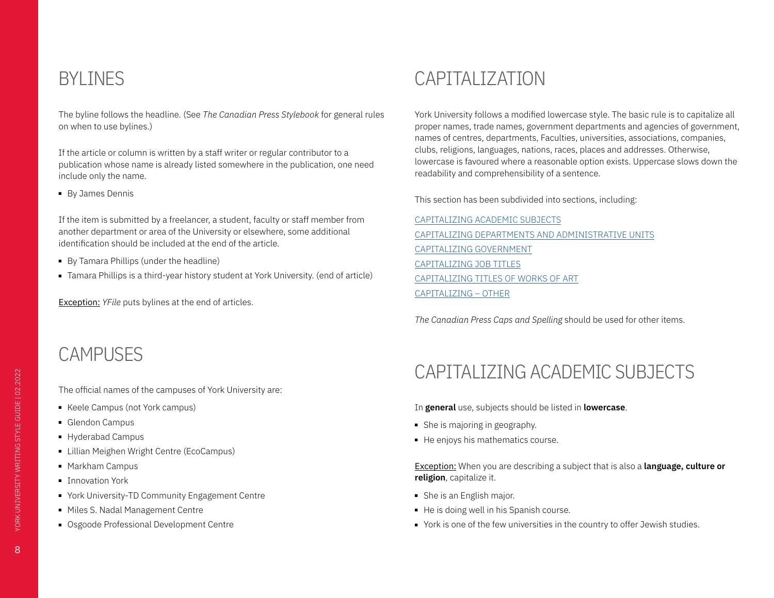## <span id="page-7-0"></span>BYLINES

The byline follows the headline. (See *The Canadian Press Stylebook* for general rules on when to use bylines.)

If the article or column is written by a staff writer or regular contributor to a publication whose name is already listed somewhere in the publication, one need include only the name.

■ By James Dennis

If the item is submitted by a freelancer, a student, faculty or staff member from another department or area of the University or elsewhere, some additional identification should be included at the end of the article.

- By Tamara Phillips (under the headline)
- Tamara Phillips is a third-year history student at York University. (end of article)

Exception: *YFile* puts bylines at the end of articles.

# CAMPUSES

The official names of the campuses of York University are:

- Keele Campus (not York campus)
- Glendon Campus
- Hyderabad Campus
- Lillian Meighen Wright Centre (EcoCampus)
- Markham Campus
- Innovation York
- York University-TD Community Engagement Centre
- Miles S. Nadal Management Centre
- Osgoode Professional Development Centre

## <span id="page-7-2"></span>CAPITALIZATION

York University follows a modified lowercase style. The basic rule is to capitalize all proper names, trade names, government departments and agencies of government, names of centres, departments, Faculties, universities, associations, companies, clubs, religions, languages, nations, races, places and addresses. Otherwise, lowercase is favoured where a reasonable option exists. Uppercase slows down the readability and comprehensibility of a sentence.

This section has been subdivided into sections, including:

[CAPITALIZING ACADEMIC SUBJECTS](#page-7-1) CAPITALIZING DEPARTMENTS AND ADMINISTRATIVE UNITS CAPITALIZING GOVERNMENT CAPITALIZING JOB TITLES CAPITALIZING TITLES OF WORKS OF ART [CAPITALIZING – OTHER](#page-10-1)

*The Canadian Press Caps and Spelling* should be used for other items.

# <span id="page-7-1"></span>CAPITALIZING ACADEMIC SUBJECTS

In **general** use, subjects should be listed in **lowercase**.

- She is majoring in geography.
- He enjoys his mathematics course.

Exception: When you are describing a subject that is also a **language, culture or religion**, capitalize it.

- She is an English major.
- He is doing well in his Spanish course.
- York is one of the few universities in the country to offer Jewish studies.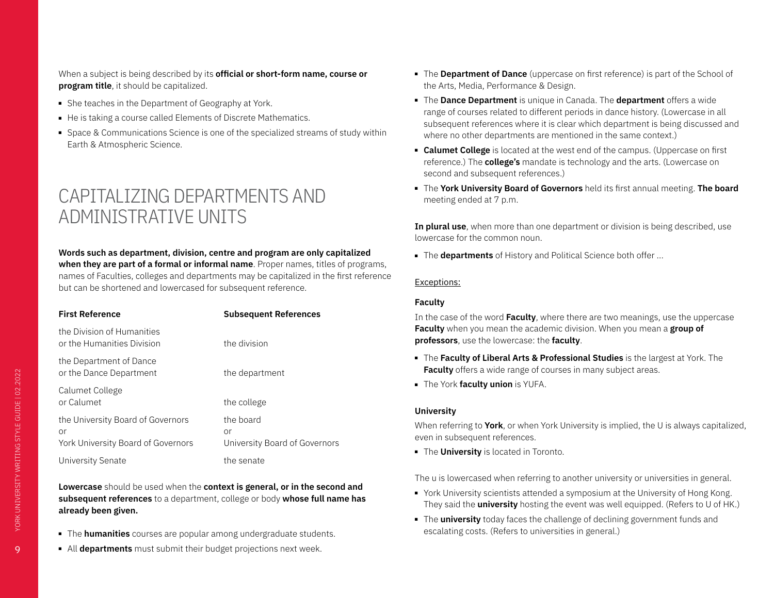<span id="page-8-0"></span>When a subject is being described by its **official or short-form name, course or program title**, it should be capitalized.

- She teaches in the Department of Geography at York.
- He is taking a course called Elements of Discrete Mathematics.
- Space & Communications Science is one of the specialized streams of study within Earth & Atmospheric Science.

## CAPITALIZING DEPARTMENTS AND ADMINISTRATIVE UNITS

### **Words such as department, division, centre and program are only capitalized when they are part of a formal or informal name**. Proper names, titles of programs, names of Faculties, colleges and departments may be capitalized in the first reference but can be shortened and lowercased for subsequent reference.

| <b>First Reference</b>                                                        | <b>Subsequent References</b>                     |
|-------------------------------------------------------------------------------|--------------------------------------------------|
| the Division of Humanities<br>or the Humanities Division                      | the division                                     |
| the Department of Dance<br>or the Dance Department                            | the department                                   |
| Calumet College<br>or Calumet                                                 | the college                                      |
| the University Board of Governors<br>or<br>York University Board of Governors | the board<br>or<br>University Board of Governors |
| University Senate                                                             | the senate                                       |

**Lowercase** should be used when the **context is general, or in the second and subsequent references** to a department, college or body **whose full name has already been given.**

- The **humanities** courses are popular among undergraduate students.
- All **departments** must submit their budget projections next week.
- The **Department of Dance** (uppercase on first reference) is part of the School of the Arts, Media, Performance & Design.
- The **Dance Department** is unique in Canada. The **department** offers a wide range of courses related to different periods in dance history. (Lowercase in all subsequent references where it is clear which department is being discussed and where no other departments are mentioned in the same context.)
- **Calumet College** is located at the west end of the campus. (Uppercase on first reference.) The **college's** mandate is technology and the arts. (Lowercase on second and subsequent references.)
- The **York University Board of Governors** held its first annual meeting. **The board**  meeting ended at 7 p.m.

**In plural use**, when more than one department or division is being described, use lowercase for the common noun.

■ The **departments** of History and Political Science both offer ...

### Exceptions:

### **Faculty**

In the case of the word **Faculty**, where there are two meanings, use the uppercase **Faculty** when you mean the academic division. When you mean a **group of professors**, use the lowercase: the **faculty**.

- The **Faculty of Liberal Arts & Professional Studies** is the largest at York. The **Faculty** offers a wide range of courses in many subject areas.
- The York **faculty union** is YUFA.

### **University**

When referring to **York**, or when York University is implied, the U is always capitalized, even in subsequent references.

■ The **University** is located in Toronto.

The u is lowercased when referring to another university or universities in general.

- York University scientists attended a symposium at the University of Hong Kong. They said the **university** hosting the event was well equipped. (Refers to U of HK.)
- The **university** today faces the challenge of declining government funds and escalating costs. (Refers to universities in general.)

9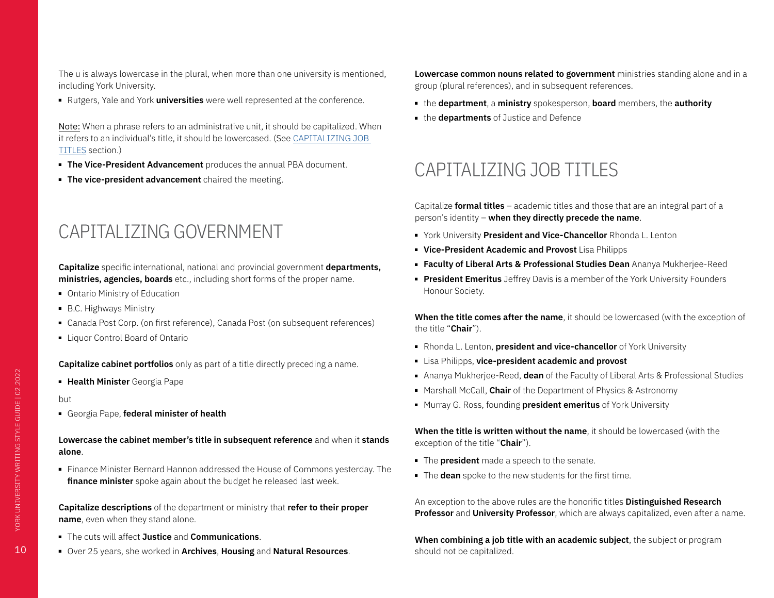<span id="page-9-0"></span>The u is always lowercase in the plural, when more than one university is mentioned, including York University.

■ Rutgers, Yale and York **universities** were well represented at the conference.

Note: When a phrase refers to an administrative unit, it should be capitalized. When it refers to an individual's title, it should be lowercased. (See CAPITALIZING JOB TITLES section.)

- **The Vice-President Advancement** produces the annual PBA document.
- **The vice-president advancement** chaired the meeting.

## CAPITALIZING GOVERNMENT

**Capitalize** specific international, national and provincial government **departments, ministries, agencies, boards** etc., including short forms of the proper name.

- Ontario Ministry of Education
- B.C. Highways Ministry
- Canada Post Corp. (on first reference), Canada Post (on subsequent references)
- Liquor Control Board of Ontario

**Capitalize cabinet portfolios** only as part of a title directly preceding a name.

■ **Health Minister** Georgia Pape

#### but

■ Georgia Pape, **federal minister of health**

### **Lowercase the cabinet member's title in subsequent reference** and when it **stands alone**.

■ Finance Minister Bernard Hannon addressed the House of Commons yesterday. The **finance minister** spoke again about the budget he released last week.

**Capitalize descriptions** of the department or ministry that **refer to their proper name**, even when they stand alone.

- The cuts will affect **Justice** and **Communications**.
- Over 25 years, she worked in **Archives**, **Housing** and **Natural Resources**.

**Lowercase common nouns related to government** ministries standing alone and in a group (plural references), and in subsequent references.

- the **department**, a **ministry** spokesperson, **board** members, the **authority**
- the **departments** of Justice and Defence

## CAPITALIZING JOB TITLES

Capitalize **formal titles** – academic titles and those that are an integral part of a person's identity – **when they directly precede the name**.

- York University **President and Vice-Chancellor** Rhonda L. Lenton
- **Vice-President Academic and Provost** Lisa Philipps
- **Faculty of Liberal Arts & Professional Studies Dean** Ananya Mukherjee-Reed
- **President Emeritus** Jeffrey Davis is a member of the York University Founders Honour Society.

**When the title comes after the name**, it should be lowercased (with the exception of the title "**Chair**").

- Rhonda L. Lenton, **president and vice-chancellor** of York University
- Lisa Philipps, **vice-president academic and provost**
- Ananya Mukherjee-Reed, **dean** of the Faculty of Liberal Arts & Professional Studies
- Marshall McCall, **Chair** of the Department of Physics & Astronomy
- Murray G. Ross, founding **president emeritus** of York University

**When the title is written without the name**, it should be lowercased (with the exception of the title "**Chair**").

- The **president** made a speech to the senate.
- The **dean** spoke to the new students for the first time.

An exception to the above rules are the honorific titles **Distinguished Research Professor** and **University Professor**, which are always capitalized, even after a name.

**When combining a job title with an academic subject**, the subject or program should not be capitalized.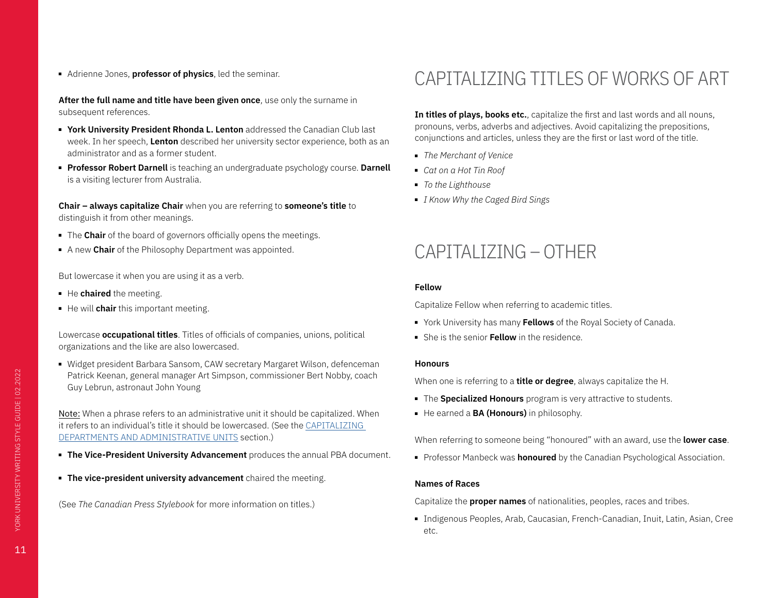<span id="page-10-0"></span>■ Adrienne Jones, **professor of physics**, led the seminar.

**After the full name and title have been given once**, use only the surname in subsequent references.

- **York University President Rhonda L. Lenton** addressed the Canadian Club last week. In her speech, **Lenton** described her university sector experience, both as an administrator and as a former student.
- **Professor Robert Darnell** is teaching an undergraduate psychology course. **Darnell**  is a visiting lecturer from Australia.

**Chair – always capitalize Chair** when you are referring to **someone's title** to distinguish it from other meanings.

- The **Chair** of the board of governors officially opens the meetings.
- A new **Chair** of the Philosophy Department was appointed.

But lowercase it when you are using it as a verb.

- He **chaired** the meeting.
- He will **chair** this important meeting.

Lowercase **occupational titles**. Titles of officials of companies, unions, political organizations and the like are also lowercased.

■ Widget president Barbara Sansom, CAW secretary Margaret Wilson, defenceman Patrick Keenan, general manager Art Simpson, commissioner Bert Nobby, coach Guy Lebrun, astronaut John Young

Note: When a phrase refers to an administrative unit it should be capitalized. When it refers to an individual's title it should be lowercased. (See the CAPITALIZING DEPARTMENTS AND ADMINISTRATIVE UNITS section.)

- **The Vice-President University Advancement** produces the annual PBA document.
- **The vice-president university advancement** chaired the meeting.

(See *The Canadian Press Stylebook* for more information on titles.)

# CAPITALIZING TITLES OF WORKS OF ART

**In titles of plays, books etc.**, capitalize the first and last words and all nouns, pronouns, verbs, adverbs and adjectives. Avoid capitalizing the prepositions, conjunctions and articles, unless they are the first or last word of the title.

- *The Merchant of Venice*
- *Cat on a Hot Tin Roof*
- *To the Lighthouse*
- *I Know Why the Caged Bird Sings*

## <span id="page-10-1"></span>CAPITALIZING – OTHER

### **Fellow**

Capitalize Fellow when referring to academic titles.

- York University has many **Fellows** of the Royal Society of Canada.
- She is the senior **Fellow** in the residence.

### **Honours**

When one is referring to a **title or degree**, always capitalize the H.

- The **Specialized Honours** program is very attractive to students.
- He earned a **BA (Honours)** in philosophy.

When referring to someone being "honoured" with an award, use the **lower case**.

■ Professor Manbeck was **honoured** by the Canadian Psychological Association.

### **Names of Races**

Capitalize the **proper names** of nationalities, peoples, races and tribes.

■ Indigenous Peoples, Arab, Caucasian, French-Canadian, Inuit, Latin, Asian, Cree etc.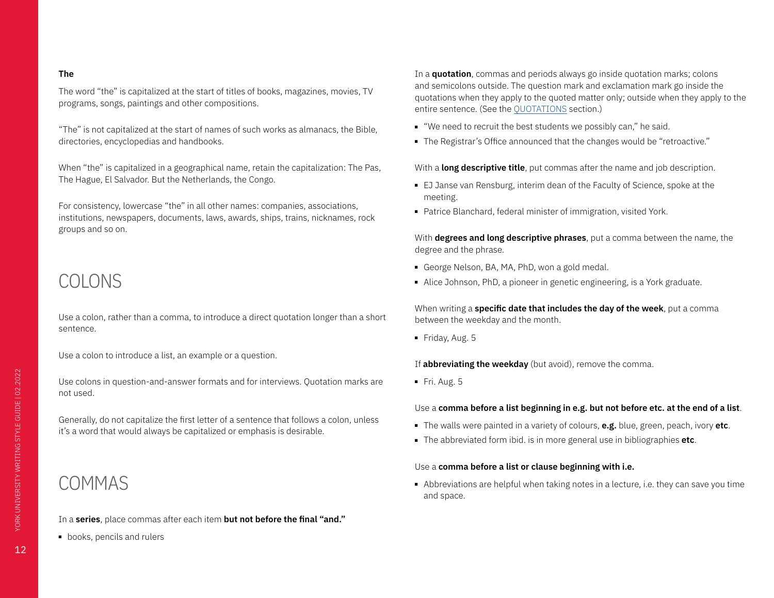#### <span id="page-11-0"></span>**The**

The word "the" is capitalized at the start of titles of books, magazines, movies, TV programs, songs, paintings and other compositions.

"The" is not capitalized at the start of names of such works as almanacs, the Bible, directories, encyclopedias and handbooks.

When "the" is capitalized in a geographical name, retain the capitalization: The Pas, The Hague, El Salvador. But the Netherlands, the Congo.

For consistency, lowercase "the" in all other names: companies, associations, institutions, newspapers, documents, laws, awards, ships, trains, nicknames, rock groups and so on.

# COLONS

Use a colon, rather than a comma, to introduce a direct quotation longer than a short sentence.

Use a colon to introduce a list, an example or a question.

Use colons in question-and-answer formats and for interviews. Quotation marks are not used.

Generally, do not capitalize the first letter of a sentence that follows a colon, unless it's a word that would always be capitalized or emphasis is desirable.

## COMMAS

In a **series**, place commas after each item **but not before the final "and."**

■ books, pencils and rulers

In a **quotation**, commas and periods always go inside quotation marks; colons and semicolons outside. The question mark and exclamation mark go inside the quotations when they apply to the quoted matter only; outside when they apply to the entire sentence. (See the QUOTATIONS section.)

- "We need to recruit the best students we possibly can," he said.
- The Registrar's Office announced that the changes would be "retroactive."

With a **long descriptive title**, put commas after the name and job description.

- EJ Janse van Rensburg, interim dean of the Faculty of Science, spoke at the meeting.
- Patrice Blanchard, federal minister of immigration, visited York.

With **degrees and long descriptive phrases**, put a comma between the name, the degree and the phrase.

- George Nelson, BA, MA, PhD, won a gold medal.
- Alice Johnson, PhD, a pioneer in genetic engineering, is a York graduate.

When writing a **specific date that includes the day of the week**, put a comma between the weekday and the month.

■ Friday, Aug. 5

If **abbreviating the weekday** (but avoid), remove the comma.

■ Fri. Aug. 5

### Use a **comma before a list beginning in e.g. but not before etc. at the end of a list**.

- The walls were painted in a variety of colours, **e.g.** blue, green, peach, ivory **etc**.
- The abbreviated form ibid. is in more general use in bibliographies **etc**.

### Use a **comma before a list or clause beginning with i.e.**

■ Abbreviations are helpful when taking notes in a lecture, i.e. they can save you time and space.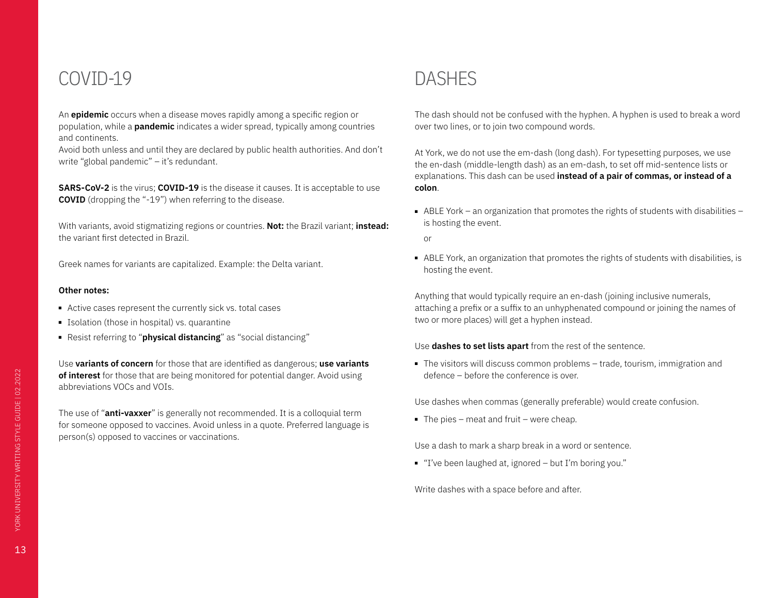## <span id="page-12-0"></span>COVID-19

An **epidemic** occurs when a disease moves rapidly among a specific region or population, while a **pandemic** indicates a wider spread, typically among countries and continents.

Avoid both unless and until they are declared by public health authorities. And don't write "global pandemic" – it's redundant.

**SARS-CoV-2** is the virus; **COVID-19** is the disease it causes. It is acceptable to use **COVID** (dropping the "-19") when referring to the disease.

With variants, avoid stigmatizing regions or countries. **Not:** the Brazil variant; **instead:** the variant first detected in Brazil.

Greek names for variants are capitalized. Example: the Delta variant.

#### **Other notes:**

- Active cases represent the currently sick vs. total cases
- Isolation (those in hospital) vs. quarantine
- Resist referring to "**physical distancing**" as "social distancing"

Use **variants of concern** for those that are identified as dangerous; **use variants of interest** for those that are being monitored for potential danger. Avoid using abbreviations VOCs and VOIs.

The use of "**anti-vaxxer**" is generally not recommended. It is a colloquial term for someone opposed to vaccines. Avoid unless in a quote. Preferred language is person(s) opposed to vaccines or vaccinations.

# DASHES

The dash should not be confused with the hyphen. A hyphen is used to break a word over two lines, or to join two compound words.

At York, we do not use the em-dash (long dash). For typesetting purposes, we use the en-dash (middle-length dash) as an em-dash, to set off mid-sentence lists or explanations. This dash can be used **instead of a pair of commas, or instead of a colon**.

■ ABLE York – an organization that promotes the rights of students with disabilities – is hosting the event.

or

■ ABLE York, an organization that promotes the rights of students with disabilities, is hosting the event.

Anything that would typically require an en-dash (joining inclusive numerals, attaching a prefix or a suffix to an unhyphenated compound or joining the names of two or more places) will get a hyphen instead.

#### Use **dashes to set lists apart** from the rest of the sentence.

■ The visitors will discuss common problems – trade, tourism, immigration and defence – before the conference is over.

Use dashes when commas (generally preferable) would create confusion.

 $\blacksquare$  The pies – meat and fruit – were cheap.

Use a dash to mark a sharp break in a word or sentence.

■ "I've been laughed at, ignored – but I'm boring you."

Write dashes with a space before and after.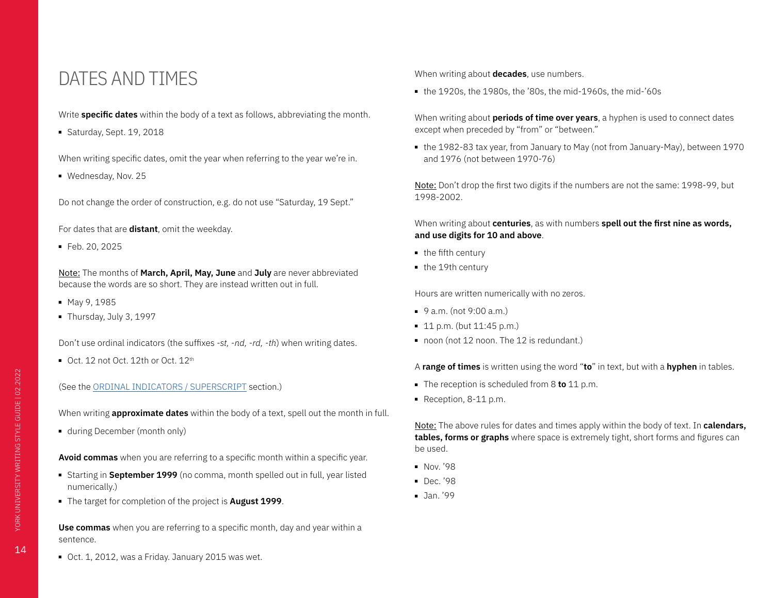### <span id="page-13-0"></span>DATES AND TIMES

Write **specific dates** within the body of a text as follows, abbreviating the month.

■ Saturday, Sept. 19, 2018

When writing specific dates, omit the year when referring to the year we're in.

■ Wednesday, Nov. 25

Do not change the order of construction, e.g. do not use "Saturday, 19 Sept."

For dates that are **distant**, omit the weekday.

■ Feb. 20, 2025

Note: The months of **March, April, May, June** and **July** are never abbreviated because the words are so short. They are instead written out in full.

- May 9, 1985
- Thursday, July 3, 1997

Don't use ordinal indicators (the suffixes *-st, -nd, -rd, -th*) when writing dates.

■ Oct. 12 not Oct. 12th or Oct. 12<sup>th</sup>

(See the ORDINAL INDICATORS / SUPERSCRIPT section.)

When writing **approximate dates** within the body of a text, spell out the month in full.

■ during December (month only)

**Avoid commas** when you are referring to a specific month within a specific year.

- Starting in **September 1999** (no comma, month spelled out in full, year listed numerically.)
- The target for completion of the project is **August 1999**.

**Use commas** when you are referring to a specific month, day and year within a sentence.

■ Oct. 1, 2012, was a Friday. January 2015 was wet.

When writing about **decades**, use numbers.

■ the 1920s, the 1980s, the '80s, the mid-1960s, the mid-'60s

When writing about **periods of time over years**, a hyphen is used to connect dates except when preceded by "from" or "between."

■ the 1982-83 tax year, from January to May (not from January-May), between 1970 and 1976 (not between 1970-76)

Note: Don't drop the first two digits if the numbers are not the same: 1998-99, but 1998-2002.

When writing about **centuries**, as with numbers **spell out the first nine as words, and use digits for 10 and above**.

- the fifth century
- the 19th century

Hours are written numerically with no zeros.

- 9 a.m. (not 9:00 a.m.)
- 11 p.m. (but 11:45 p.m.)
- noon (not 12 noon. The 12 is redundant.)

A **range of times** is written using the word "**to**" in text, but with a **hyphen** in tables.

- The reception is scheduled from 8 **to** 11 p.m.
- Reception, 8-11 p.m.

Note: The above rules for dates and times apply within the body of text. In **calendars, tables, forms or graphs** where space is extremely tight, short forms and figures can be used.

- Nov. '98
- Dec.'98
- Jan. '99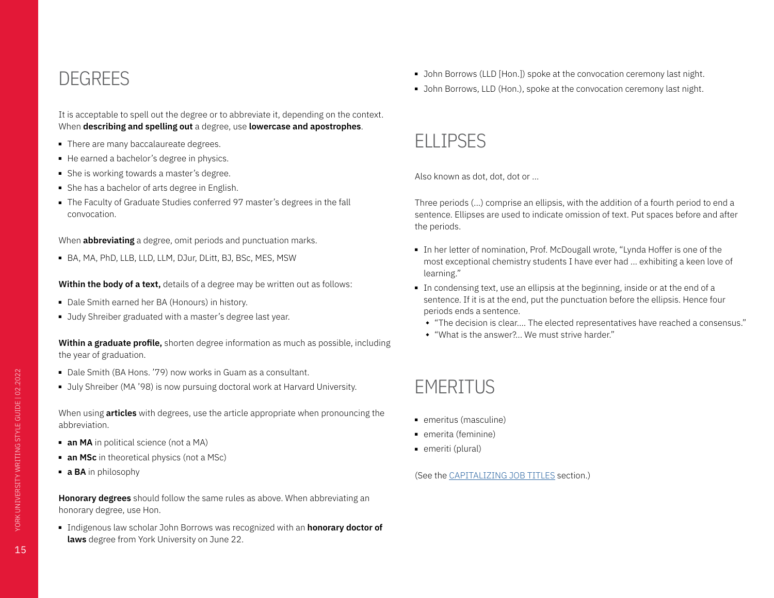## <span id="page-14-0"></span>DEGREES

It is acceptable to spell out the degree or to abbreviate it, depending on the context. When **describing and spelling out** a degree, use **lowercase and apostrophes**.

- There are many baccalaureate degrees.
- He earned a bachelor's degree in physics.
- She is working towards a master's degree.
- She has a bachelor of arts degree in English.
- The Faculty of Graduate Studies conferred 97 master's degrees in the fall convocation.

When **abbreviating** a degree, omit periods and punctuation marks.

■ BA, MA, PhD, LLB, LLD, LLM, DJur, DLitt, BJ, BSc, MES, MSW

### **Within the body of a text,** details of a degree may be written out as follows:

- Dale Smith earned her BA (Honours) in history.
- Judy Shreiber graduated with a master's degree last year.

**Within a graduate profile,** shorten degree information as much as possible, including the year of graduation.

- Dale Smith (BA Hons. '79) now works in Guam as a consultant.
- July Shreiber (MA '98) is now pursuing doctoral work at Harvard University.

When using **articles** with degrees, use the article appropriate when pronouncing the abbreviation.

- **an MA** in political science (not a MA)
- **an MSc** in theoretical physics (not a MSc)
- **a BA** in philosophy

**Honorary degrees** should follow the same rules as above. When abbreviating an honorary degree, use Hon.

■ Indigenous law scholar John Borrows was recognized with an **honorary doctor of laws** degree from York University on June 22.

- John Borrows (LLD [Hon.]) spoke at the convocation ceremony last night.
- John Borrows, LLD (Hon.), spoke at the convocation ceremony last night.

## ELLIPSES

Also known as dot, dot, dot or …

Three periods (...) comprise an ellipsis, with the addition of a fourth period to end a sentence. Ellipses are used to indicate omission of text. Put spaces before and after the periods.

- In her letter of nomination, Prof. McDougall wrote, "Lynda Hoffer is one of the most exceptional chemistry students I have ever had ... exhibiting a keen love of learning."
- In condensing text, use an ellipsis at the beginning, inside or at the end of a sentence. If it is at the end, put the punctuation before the ellipsis. Hence four periods ends a sentence.
	- "The decision is clear.... The elected representatives have reached a consensus."
	- "What is the answer?... We must strive harder."

# **EMERITUS**

- emeritus (masculine)
- emerita (feminine)
- emeriti (plural)

(See the CAPITALIZING JOB TITLES section.)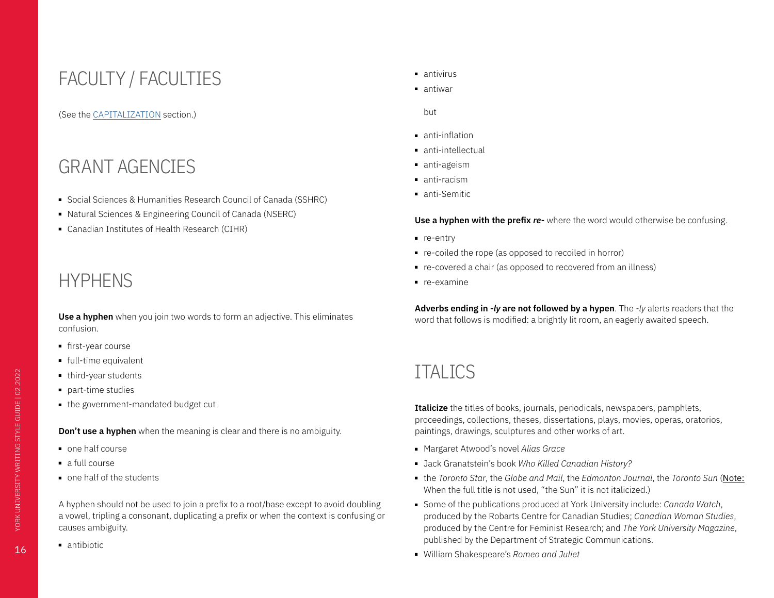# <span id="page-15-0"></span>FACULTY / FACULTIES

### (See the [CAPITALIZATION](#page-7-2) section.)

## GRANT AGENCIES

- Social Sciences & Humanities Research Council of Canada (SSHRC)
- Natural Sciences & Engineering Council of Canada (NSERC)
- Canadian Institutes of Health Research (CIHR)

# **HYPHENS**

**Use a hyphen** when you join two words to form an adjective. This eliminates confusion.

- first-year course
- full-time equivalent
- third-year students
- part-time studies
- the government-mandated budget cut

**Don't use a hyphen** when the meaning is clear and there is no ambiguity.

- one half course
- a full course
- one half of the students

A hyphen should not be used to join a prefix to a root/base except to avoid doubling a vowel, tripling a consonant, duplicating a prefix or when the context is confusing or causes ambiguity.

■ antibiotic

- antivirus
- antiwar

but

- anti-inflation
- anti-intellectual
- anti-ageism
- anti-racism
- anti-Semitic

**Use a hyphen with the prefix** *re-* where the word would otherwise be confusing.

- re-entry
- re-coiled the rope (as opposed to recoiled in horror)
- re-covered a chair (as opposed to recovered from an illness)
- re-examine

**Adverbs ending in** *-ly* **are not followed by a hypen**. The *-ly* alerts readers that the word that follows is modified: a brightly lit room, an eagerly awaited speech.

## **ITALICS**

**Italicize** the titles of books, journals, periodicals, newspapers, pamphlets, proceedings, collections, theses, dissertations, plays, movies, operas, oratorios, paintings, drawings, sculptures and other works of art.

- Margaret Atwood's novel *Alias Grace*
- Jack Granatstein's book *Who Killed Canadian History?*
- the *Toronto Star*, the *Globe and Mail*, the *Edmonton Journal*, the *Toronto Sun* (Note: When the full title is not used, "the Sun" it is not italicized.)
- Some of the publications produced at York University include: *Canada Watch*, produced by the Robarts Centre for Canadian Studies; *Canadian Woman Studies*, produced by the Centre for Feminist Research; and *The York University Magazine*, published by the Department of Strategic Communications.
- William Shakespeare's *Romeo and Juliet*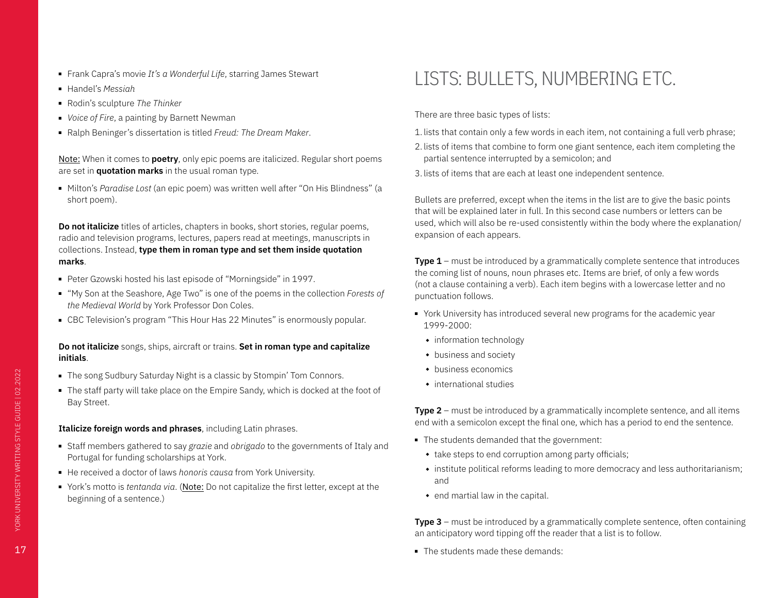- <span id="page-16-0"></span>■ Frank Capra's movie *It's a Wonderful Life*, starring James Stewart
- Handel's *Messiah*
- Rodin's sculpture *The Thinker*
- *Voice of Fire*, a painting by Barnett Newman
- Ralph Beninger's dissertation is titled *Freud: The Dream Maker*.

Note: When it comes to **poetry**, only epic poems are italicized. Regular short poems are set in **quotation marks** in the usual roman type.

■ Milton's *Paradise Lost* (an epic poem) was written well after "On His Blindness" (a short poem).

**Do not italicize** titles of articles, chapters in books, short stories, regular poems, radio and television programs, lectures, papers read at meetings, manuscripts in collections. Instead, **type them in roman type and set them inside quotation marks**.

- Peter Gzowski hosted his last episode of "Morningside" in 1997.
- "My Son at the Seashore, Age Two" is one of the poems in the collection *Forests of the Medieval World* by York Professor Don Coles.
- CBC Television's program "This Hour Has 22 Minutes" is enormously popular.

### **Do not italicize** songs, ships, aircraft or trains. **Set in roman type and capitalize initials**.

- The song Sudbury Saturday Night is a classic by Stompin' Tom Connors.
- The staff party will take place on the Empire Sandy, which is docked at the foot of Bay Street.

### **Italicize foreign words and phrases**, including Latin phrases.

- Staff members gathered to say *grazie* and *obrigado* to the governments of Italy and Portugal for funding scholarships at York.
- He received a doctor of laws *honoris causa* from York University.
- York's motto is *tentanda via*. (Note: Do not capitalize the first letter, except at the beginning of a sentence.)

# LISTS: BULLETS, NUMBERING ETC.

There are three basic types of lists:

- 1. lists that contain only a few words in each item, not containing a full verb phrase;
- 2. lists of items that combine to form one giant sentence, each item completing the partial sentence interrupted by a semicolon; and
- 3. lists of items that are each at least one independent sentence.

Bullets are preferred, except when the items in the list are to give the basic points that will be explained later in full. In this second case numbers or letters can be used, which will also be re-used consistently within the body where the explanation/ expansion of each appears.

**Type 1** – must be introduced by a grammatically complete sentence that introduces the coming list of nouns, noun phrases etc. Items are brief, of only a few words (not a clause containing a verb). Each item begins with a lowercase letter and no punctuation follows.

- York University has introduced several new programs for the academic year 1999-2000:
	- $\bullet$  information technology
	- $\bullet$  business and society
	- $\bullet$  business economics
	- $\bullet$  international studies

**Type 2** – must be introduced by a grammatically incomplete sentence, and all items end with a semicolon except the final one, which has a period to end the sentence.

- The students demanded that the government:
	- $\cdot$  take steps to end corruption among party officials;
	- $\bullet$  institute political reforms leading to more democracy and less authoritarianism; and
	- $\bullet$  end martial law in the capital.

**Type 3** – must be introduced by a grammatically complete sentence, often containing an anticipatory word tipping off the reader that a list is to follow.

■ The students made these demands: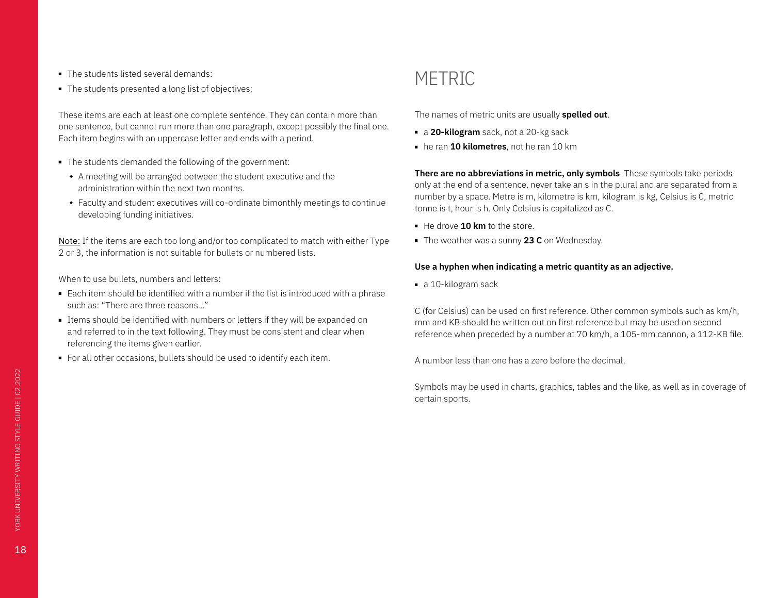- <span id="page-17-0"></span>■ The students listed several demands:
- The students presented a long list of objectives:

These items are each at least one complete sentence. They can contain more than one sentence, but cannot run more than one paragraph, except possibly the final one. Each item begins with an uppercase letter and ends with a period.

- The students demanded the following of the government:
	- A meeting will be arranged between the student executive and the administration within the next two months.
	- Faculty and student executives will co-ordinate bimonthly meetings to continue developing funding initiatives.

Note: If the items are each too long and/or too complicated to match with either Type 2 or 3, the information is not suitable for bullets or numbered lists.

When to use bullets, numbers and letters:

- Each item should be identified with a number if the list is introduced with a phrase such as: "There are three reasons..."
- Items should be identified with numbers or letters if they will be expanded on and referred to in the text following. They must be consistent and clear when referencing the items given earlier.
- For all other occasions, bullets should be used to identify each item.

## **METRIC**

The names of metric units are usually **spelled out**.

- a **20-kilogram** sack, not a 20-kg sack
- he ran **10 kilometres**, not he ran 10 km

**There are no abbreviations in metric, only symbols**. These symbols take periods only at the end of a sentence, never take an s in the plural and are separated from a number by a space. Metre is m, kilometre is km, kilogram is kg, Celsius is C, metric tonne is t, hour is h. Only Celsius is capitalized as C.

- He drove **10 km** to the store.
- The weather was a sunny 23 C on Wednesday.

### **Use a hyphen when indicating a metric quantity as an adjective.**

■ a 10-kilogram sack

C (for Celsius) can be used on first reference. Other common symbols such as km/h, mm and KB should be written out on first reference but may be used on second reference when preceded by a number at 70 km/h, a 105-mm cannon, a 112-KB file.

A number less than one has a zero before the decimal.

Symbols may be used in charts, graphics, tables and the like, as well as in coverage of certain sports.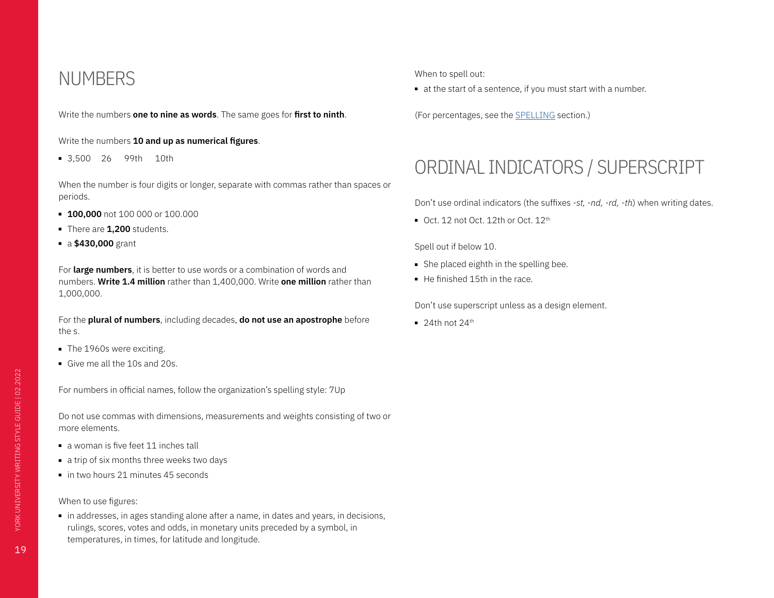### <span id="page-18-0"></span>NUMBERS

Write the numbers **one to nine as words**. The same goes for **first to ninth**.

Write the numbers **10 and up as numerical figures**.

■ 3,500 26 99th 10th

When the number is four digits or longer, separate with commas rather than spaces or periods.

- **100,000** not 100 000 or 100.000
- There are **1,200** students.
- a **\$430,000** grant

For **large numbers**, it is better to use words or a combination of words and numbers. **Write 1.4 million** rather than 1,400,000. Write **one million** rather than 1,000,000.

For the **plural of numbers**, including decades, **do not use an apostrophe** before the s.

- The 1960s were exciting.
- Give me all the 10s and 20s.

For numbers in official names, follow the organization's spelling style: 7Up

Do not use commas with dimensions, measurements and weights consisting of two or more elements.

- a woman is five feet 11 inches tall
- a trip of six months three weeks two days
- in two hours 21 minutes 45 seconds

#### When to use figures:

■ in addresses, in ages standing alone after a name, in dates and years, in decisions, rulings, scores, votes and odds, in monetary units preceded by a symbol, in temperatures, in times, for latitude and longitude.

When to spell out:

■ at the start of a sentence, if you must start with a number.

(For percentages, see the SPELLING section.)

## ORDINAL INDICATORS / SUPERSCRIPT

Don't use ordinal indicators (the suffixes *-st, -nd, -rd, -th*) when writing dates.

■ Oct. 12 not Oct. 12th or Oct. 12<sup>th</sup>

Spell out if below 10.

- She placed eighth in the spelling bee.
- He finished 15th in the race

Don't use superscript unless as a design element.

 $= 24$ th not  $24$ <sup>th</sup>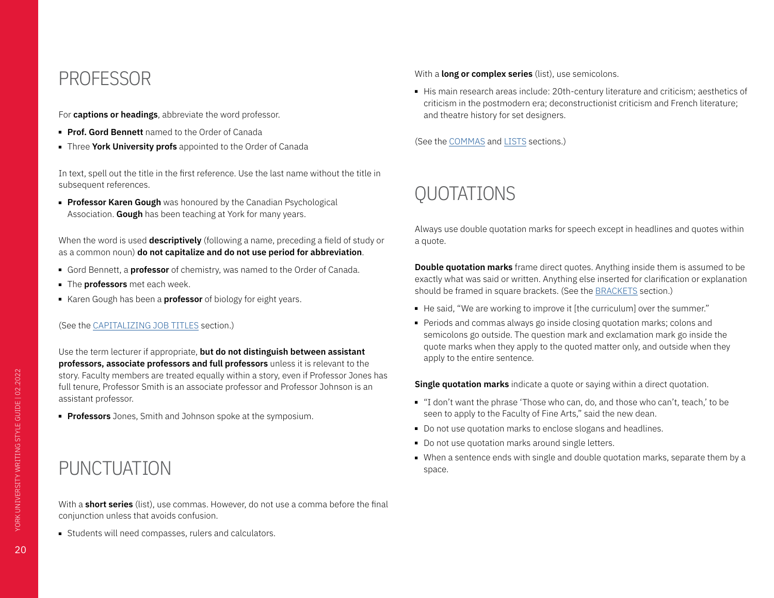### <span id="page-19-0"></span>PROFESSOR

For **captions or headings**, abbreviate the word professor.

- **Prof. Gord Bennett** named to the Order of Canada
- Three **York University profs** appointed to the Order of Canada

In text, spell out the title in the first reference. Use the last name without the title in subsequent references.

■ **Professor Karen Gough** was honoured by the Canadian Psychological Association. **Gough** has been teaching at York for many years.

When the word is used **descriptively** (following a name, preceding a field of study or as a common noun) **do not capitalize and do not use period for abbreviation**.

- Gord Bennett, a **professor** of chemistry, was named to the Order of Canada.
- The **professors** met each week.
- Karen Gough has been a **professor** of biology for eight years.

### (See the CAPITALIZING JOB TITLES section.)

Use the term lecturer if appropriate, **but do not distinguish between assistant professors, associate professors and full professors** unless it is relevant to the story. Faculty members are treated equally within a story, even if Professor Jones has full tenure, Professor Smith is an associate professor and Professor Johnson is an assistant professor.

■ **Professors** Jones, Smith and Johnson spoke at the symposium.

# PUNCTUATION

With a **long or complex series** (list), use semicolons.

■ His main research areas include: 20th-century literature and criticism; aesthetics of criticism in the postmodern era; deconstructionist criticism and French literature; and theatre history for set designers.

(See the COMMAS and LISTS sections.)

# QUOTATIONS

Always use double quotation marks for speech except in headlines and quotes within a quote.

**Double quotation marks** frame direct quotes. Anything inside them is assumed to be exactly what was said or written. Anything else inserted for clarification or explanation should be framed in square brackets. (See the [BRACKETS](#page-6-1) section.)

- He said, "We are working to improve it [the curriculum] over the summer."
- Periods and commas always go inside closing quotation marks; colons and semicolons go outside. The question mark and exclamation mark go inside the quote marks when they apply to the quoted matter only, and outside when they apply to the entire sentence.

**Single quotation marks** indicate a quote or saying within a direct quotation.

- "I don't want the phrase 'Those who can, do, and those who can't, teach,' to be seen to apply to the Faculty of Fine Arts," said the new dean.
- Do not use quotation marks to enclose slogans and headlines.
- Do not use quotation marks around single letters.
- When a sentence ends with single and double quotation marks, separate them by a space.

With a **short series** (list), use commas. However, do not use a comma before the final conjunction unless that avoids confusion.

■ Students will need compasses, rulers and calculators.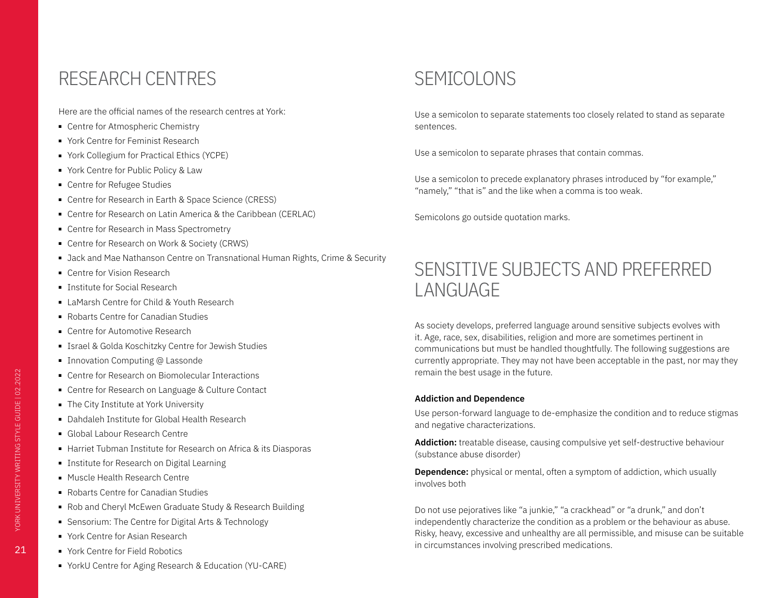### <span id="page-20-0"></span>RESEARCH CENTRES

Here are the official names of the research centres at York:

- Centre for Atmospheric Chemistry
- York Centre for Feminist Research
- York Collegium for Practical Ethics (YCPE)
- York Centre for Public Policy & Law
- Centre for Refugee Studies
- Centre for Research in Earth & Space Science (CRESS)
- Centre for Research on Latin America & the Caribbean (CERLAC)
- Centre for Research in Mass Spectrometry
- Centre for Research on Work & Society (CRWS)
- Jack and Mae Nathanson Centre on Transnational Human Rights, Crime & Security
- Centre for Vision Research
- Institute for Social Research
- LaMarsh Centre for Child & Youth Research
- Robarts Centre for Canadian Studies
- Centre for Automotive Research
- Israel & Golda Koschitzky Centre for Jewish Studies
- Innovation Computing @ Lassonde
- Centre for Research on Biomolecular Interactions
- Centre for Research on Language & Culture Contact
- The City Institute at York University
- Dahdaleh Institute for Global Health Research
- Global Labour Research Centre
- Harriet Tubman Institute for Research on Africa & its Diasporas
- Institute for Research on Digital Learning
- Muscle Health Research Centre
- Robarts Centre for Canadian Studies
- Rob and Cheryl McEwen Graduate Study & Research Building
- Sensorium: The Centre for Digital Arts & Technology
- York Centre for Asian Research
- York Centre for Field Robotics
- YorkU Centre for Aging Research & Education (YU-CARE)

# SEMICOLONS

Use a semicolon to separate statements too closely related to stand as separate sentences.

Use a semicolon to separate phrases that contain commas.

Use a semicolon to precede explanatory phrases introduced by "for example," "namely," "that is" and the like when a comma is too weak.

Semicolons go outside quotation marks.

# SENSITIVE SUBJECTS AND PREFERRED LANGUAGE

As society develops, preferred language around sensitive subjects evolves with it. Age, race, sex, disabilities, religion and more are sometimes pertinent in communications but must be handled thoughtfully. The following suggestions are currently appropriate. They may not have been acceptable in the past, nor may they remain the best usage in the future.

### **Addiction and Dependence**

Use person-forward language to de-emphasize the condition and to reduce stigmas and negative characterizations.

**Addiction:** treatable disease, causing compulsive yet self-destructive behaviour (substance abuse disorder)

**Dependence:** physical or mental, often a symptom of addiction, which usually involves both

Do not use pejoratives like "a junkie," "a crackhead" or "a drunk," and don't independently characterize the condition as a problem or the behaviour as abuse. Risky, heavy, excessive and unhealthy are all permissible, and misuse can be suitable in circumstances involving prescribed medications.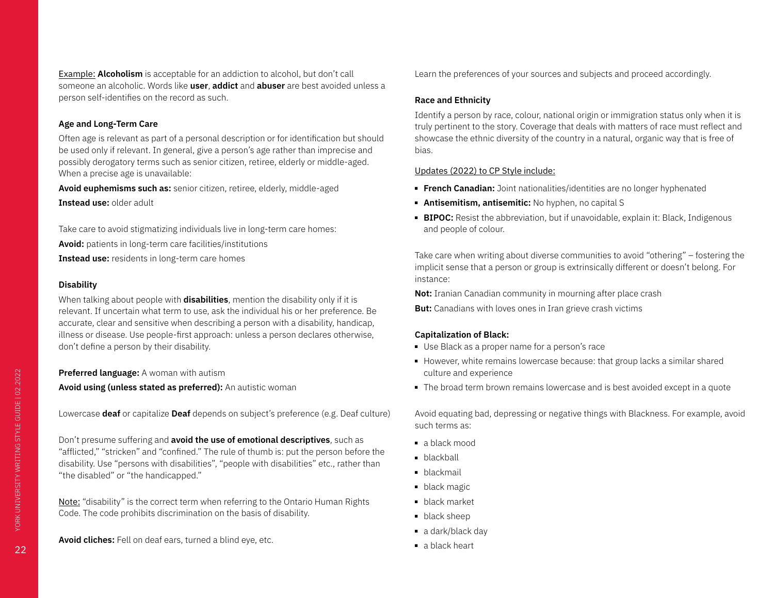Example: **Alcoholism** is acceptable for an addiction to alcohol, but don't call someone an alcoholic. Words like **user**, **addict** and **abuser** are best avoided unless a person self-identifies on the record as such.

### **Age and Long-Term Care**

Often age is relevant as part of a personal description or for identification but should be used only if relevant. In general, give a person's age rather than imprecise and possibly derogatory terms such as senior citizen, retiree, elderly or middle-aged. When a precise age is unavailable:

**Avoid euphemisms such as:** senior citizen, retiree, elderly, middle-aged **Instead use:** older adult

Take care to avoid stigmatizing individuals live in long-term care homes: **Avoid:** patients in long-term care facilities/institutions **Instead use:** residents in long-term care homes

### **Disability**

When talking about people with **disabilities**, mention the disability only if it is relevant. If uncertain what term to use, ask the individual his or her preference. Be accurate, clear and sensitive when describing a person with a disability, handicap, illness or disease. Use people-first approach: unless a person declares otherwise, don't define a person by their disability.

**Preferred language:** A woman with autism

**Avoid using (unless stated as preferred):** An autistic woman

Lowercase **deaf** or capitalize **Deaf** depends on subject's preference (e.g. Deaf culture)

Don't presume suffering and **avoid the use of emotional descriptives**, such as "afflicted," "stricken" and "confined." The rule of thumb is: put the person before the disability. Use "persons with disabilities", "people with disabilities" etc., rather than "the disabled" or "the handicapped."

Note: "disability" is the correct term when referring to the Ontario Human Rights Code. The code prohibits discrimination on the basis of disability.

**Avoid cliches:** Fell on deaf ears, turned a blind eye, etc.

Learn the preferences of your sources and subjects and proceed accordingly.

### **Race and Ethnicity**

Identify a person by race, colour, national origin or immigration status only when it is truly pertinent to the story. Coverage that deals with matters of race must reflect and showcase the ethnic diversity of the country in a natural, organic way that is free of bias.

### Updates (2022) to CP Style include:

- **French Canadian:** Joint nationalities/identities are no longer hyphenated
- **Antisemitism, antisemitic:** No hyphen, no capital S
- **BIPOC:** Resist the abbreviation, but if unavoidable, explain it: Black, Indigenous and people of colour.

Take care when writing about diverse communities to avoid "othering" – fostering the implicit sense that a person or group is extrinsically different or doesn't belong. For instance:

**Not:** Iranian Canadian community in mourning after place crash **But:** Canadians with loves ones in Iran grieve crash victims

### **Capitalization of Black:**

- Use Black as a proper name for a person's race
- However, white remains lowercase because: that group lacks a similar shared culture and experience
- The broad term brown remains lowercase and is best avoided except in a quote

Avoid equating bad, depressing or negative things with Blackness. For example, avoid such terms as:

- a black mood
- blackball
- blackmail
- black magic
- black market
- black sheep
- a dark/black day
- a black heart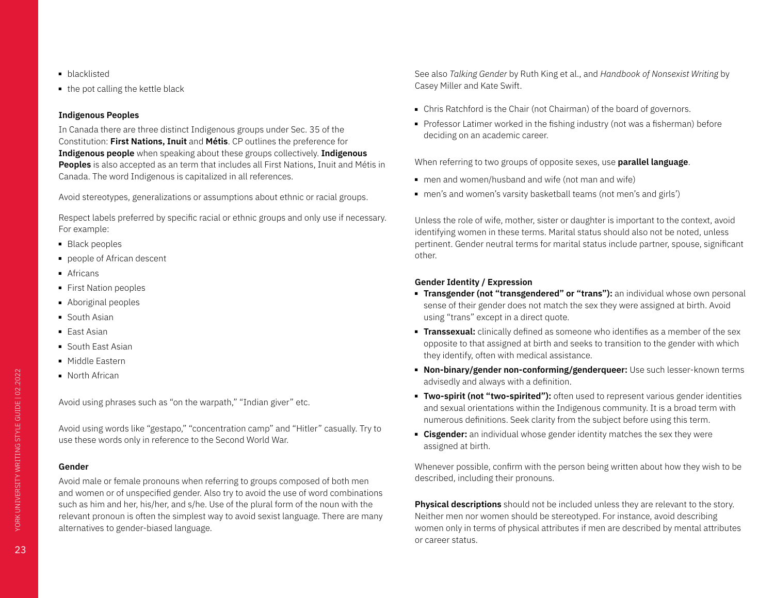- blacklisted
- the pot calling the kettle black

### **Indigenous Peoples**

In Canada there are three distinct Indigenous groups under Sec. 35 of the Constitution: **First Nations, Inuit** and **Métis**. CP outlines the preference for **Indigenous people** when speaking about these groups collectively. **Indigenous Peoples** is also accepted as an term that includes all First Nations, Inuit and Métis in Canada. The word Indigenous is capitalized in all references.

Avoid stereotypes, generalizations or assumptions about ethnic or racial groups.

Respect labels preferred by specific racial or ethnic groups and only use if necessary. For example:

- Black peoples
- people of African descent
- Africans
- First Nation peoples
- Aboriginal peoples
- South Asian
- East Asian
- South East Asian
- Middle Fastern
- North African

Avoid using phrases such as "on the warpath," "Indian giver" etc.

Avoid using words like "gestapo," "concentration camp" and "Hitler" casually. Try to use these words only in reference to the Second World War.

### **Gender**

Avoid male or female pronouns when referring to groups composed of both men and women or of unspecified gender. Also try to avoid the use of word combinations such as him and her, his/her, and s/he. Use of the plural form of the noun with the relevant pronoun is often the simplest way to avoid sexist language. There are many alternatives to gender-biased language.

See also *Talking Gender* by Ruth King et al., and *Handbook of Nonsexist Writing* by Casey Miller and Kate Swift.

- Chris Ratchford is the Chair (not Chairman) of the board of governors.
- Professor Latimer worked in the fishing industry (not was a fisherman) before deciding on an academic career.

When referring to two groups of opposite sexes, use **parallel language**.

- men and women/husband and wife (not man and wife)
- men's and women's varsity basketball teams (not men's and girls')

Unless the role of wife, mother, sister or daughter is important to the context, avoid identifying women in these terms. Marital status should also not be noted, unless pertinent. Gender neutral terms for marital status include partner, spouse, significant other.

### **Gender Identity / Expression**

- **Transgender (not "transgendered" or "trans"):** an individual whose own personal sense of their gender does not match the sex they were assigned at birth. Avoid using "trans" except in a direct quote.
- **Transsexual:** clinically defined as someone who identifies as a member of the sex opposite to that assigned at birth and seeks to transition to the gender with which they identify, often with medical assistance.
- **Non-binary/gender non-conforming/genderqueer:** Use such lesser-known terms advisedly and always with a definition.
- **Two-spirit (not "two-spirited"):** often used to represent various gender identities and sexual orientations within the Indigenous community. It is a broad term with numerous definitions. Seek clarity from the subject before using this term.
- **Eisgender:** an individual whose gender identity matches the sex they were assigned at birth.

Whenever possible, confirm with the person being written about how they wish to be described, including their pronouns.

**Physical descriptions** should not be included unless they are relevant to the story. Neither men nor women should be stereotyped. For instance, avoid describing women only in terms of physical attributes if men are described by mental attributes or career status.

23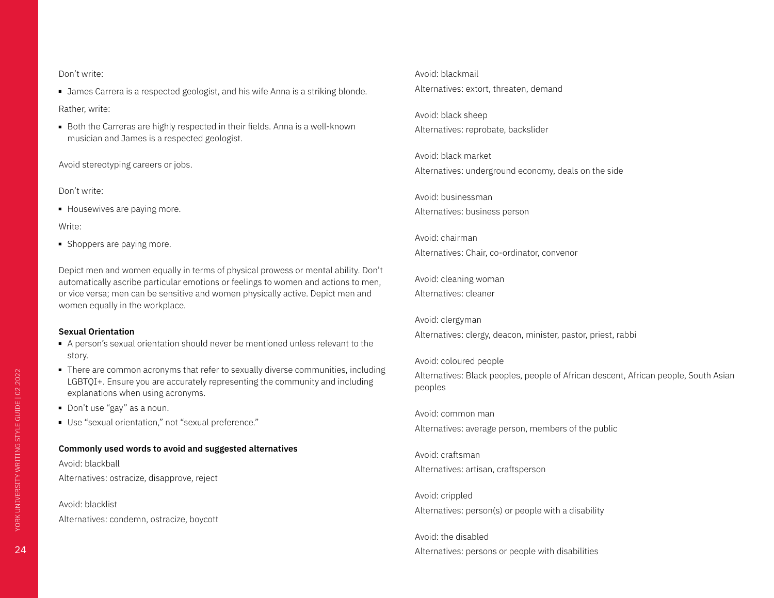#### Don't write:

■ James Carrera is a respected geologist, and his wife Anna is a striking blonde.

Rather, write:

■ Both the Carreras are highly respected in their fields. Anna is a well-known musician and James is a respected geologist.

Avoid stereotyping careers or jobs.

Don't write:

■ Housewives are paying more.

Write:

■ Shoppers are paying more.

Depict men and women equally in terms of physical prowess or mental ability. Don't automatically ascribe particular emotions or feelings to women and actions to men, or vice versa; men can be sensitive and women physically active. Depict men and women equally in the workplace.

#### **Sexual Orientation**

- A person's sexual orientation should never be mentioned unless relevant to the story.
- There are common acronyms that refer to sexually diverse communities, including LGBTQI+. Ensure you are accurately representing the community and including explanations when using acronyms.
- Don't use "gay" as a noun.
- Use "sexual orientation," not "sexual preference."

### **Commonly used words to avoid and suggested alternatives**

Avoid: blackball Alternatives: ostracize, disapprove, reject

Avoid: blacklist

Alternatives: condemn, ostracize, boycott

Avoid: blackmail Alternatives: extort, threaten, demand

Avoid: black sheep Alternatives: reprobate, backslider

Avoid: black market Alternatives: underground economy, deals on the side

Avoid: businessman Alternatives: business person

Avoid: chairman Alternatives: Chair, co-ordinator, convenor

Avoid: cleaning woman Alternatives: cleaner

Avoid: clergyman Alternatives: clergy, deacon, minister, pastor, priest, rabbi

Avoid: coloured people Alternatives: Black peoples, people of African descent, African people, South Asian peoples

Avoid: common man Alternatives: average person, members of the public

Avoid: craftsman Alternatives: artisan, craftsperson

Avoid: crippled Alternatives: person(s) or people with a disability

Avoid: the disabled Alternatives: persons or people with disabilities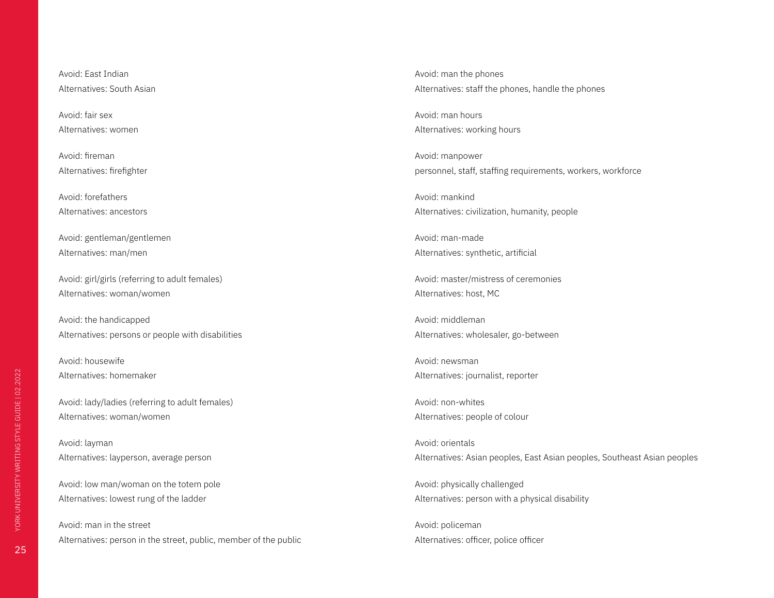Avoid: East Indian Alternatives: South Asian

Avoid: fair sex Alternatives: women

Avoid: fireman Alternatives: firefighter

Avoid: forefathers Alternatives: ancestors

Avoid: gentleman/gentlemen Alternatives: man/men

Avoid: girl/girls (referring to adult females) Alternatives: woman/women

Avoid: the handicapped Alternatives: persons or people with disabilities

Avoid: housewife Alternatives: homemaker

Avoid: lady/ladies (referring to adult females) Alternatives: woman/women

Avoid: layman Alternatives: layperson, average person

Avoid: low man/woman on the totem pole Alternatives: lowest rung of the ladder

Avoid: man in the street Alternatives: person in the street, public, member of the public Avoid: man the phones Alternatives: staff the phones, handle the phones

Avoid: man hours Alternatives: working hours

Avoid: manpower personnel, staff, staffing requirements, workers, workforce

Avoid: mankind Alternatives: civilization, humanity, people

Avoid: man-made Alternatives: synthetic, artificial

Avoid: master/mistress of ceremonies Alternatives: host, MC

Avoid: middleman Alternatives: wholesaler, go-between

Avoid: newsman Alternatives: journalist, reporter

Avoid: non-whites Alternatives: people of colour

Avoid: orientals Alternatives: Asian peoples, East Asian peoples, Southeast Asian peoples

Avoid: physically challenged Alternatives: person with a physical disability

Avoid: policeman Alternatives: officer, police officer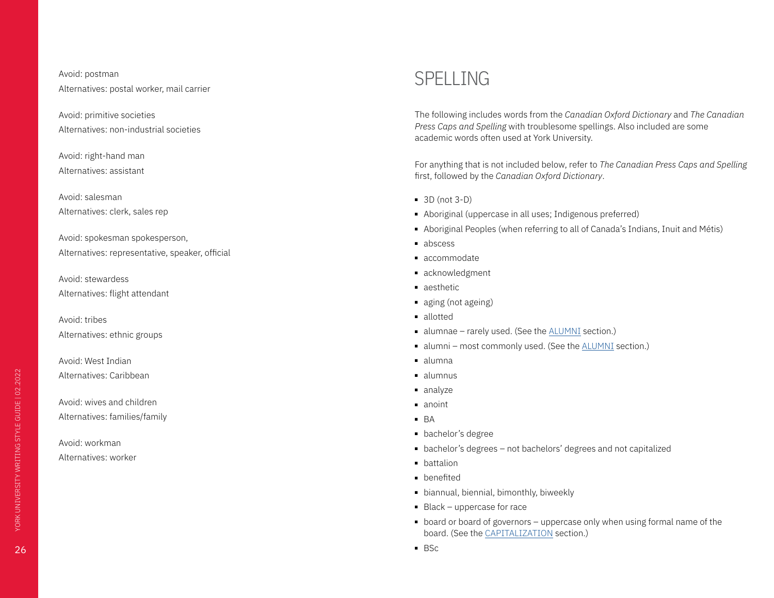### <span id="page-25-0"></span>Avoid: postman Alternatives: postal worker, mail carrier

Avoid: primitive societies Alternatives: non-industrial societies

Avoid: right-hand man Alternatives: assistant

Avoid: salesman Alternatives: clerk, sales rep

Avoid: spokesman spokesperson, Alternatives: representative, speaker, official

Avoid: stewardess Alternatives: flight attendant

Avoid: tribes Alternatives: ethnic groups

Avoid: West Indian Alternatives: Caribbean

Avoid: wives and children Alternatives: families/family

Avoid: workman Alternatives: worker

## SPELLING

The following includes words from the *Canadian Oxford Dictionary* and *The Canadian Press Caps and Spelling* with troublesome spellings. Also included are some academic words often used at York University.

For anything that is not included below, refer to *The Canadian Press Caps and Spelling*  first, followed by the *Canadian Oxford Dictionary*.

- 3D (not 3-D)
- Aboriginal (uppercase in all uses; Indigenous preferred)
- Aboriginal Peoples (when referring to all of Canada's Indians, Inuit and Métis)
- abscess
- accommodate
- acknowledgment
- aesthetic
- aging (not ageing)
- allotted
- alumnae rarely used. (See the **[ALUMNI](#page-5-2)** section.)
- alumni most commonly used. (See the [ALUMNI](#page-5-2) section.)
- alumna
- alumnus
- analyze
- anoint
- BA
- bachelor's degree
- bachelor's degrees not bachelors' degrees and not capitalized
- battalion
- benefited
- biannual, biennial, bimonthly, biweekly
- Black uppercase for race
- board or board of governors uppercase only when using formal name of the board. (See the [CAPITALIZATION](#page-7-2) section.)
- BSc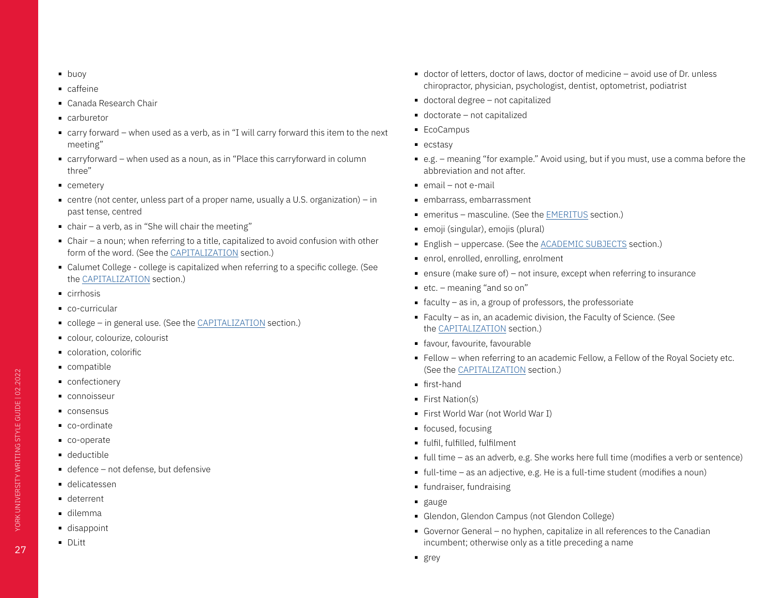- buoy
- caffeine
- Canada Research Chair
- carburetor
- carry forward when used as a verb, as in "I will carry forward this item to the next meeting"
- carryforward when used as a noun, as in "Place this carryforward in column three"
- cemetery
- $\blacksquare$  centre (not center, unless part of a proper name, usually a U.S. organization) in past tense, centred
- $\blacksquare$  chair a verb, as in "She will chair the meeting"
- Chair a noun; when referring to a title, capitalized to avoid confusion with other form of the word. (See the [CAPITALIZATION](#page-7-2) section.)
- Calumet College college is capitalized when referring to a specific college. (See the [CAPITALIZATION](#page-7-2) section.)
- cirrhosis
- co-curricular
- college in general use. (See the [CAPITALIZATION](#page-7-2) section.)
- colour, colourize, colourist
- coloration, colorific
- compatible
- confectionery
- connoisseur
- consensus
- co-ordinate
- co-operate
- deductible
- defence not defense, but defensive
- delicatessen
- deterrent
- dilemma
- disappoint
- DLitt
- doctor of letters, doctor of laws, doctor of medicine avoid use of Dr. unless chiropractor, physician, psychologist, dentist, optometrist, podiatrist
- doctoral degree not capitalized
- doctorate not capitalized
- EcoCampus
- ecstasy
- e.g. meaning "for example." Avoid using, but if you must, use a comma before the abbreviation and not after.
- email not e-mail
- embarrass, embarrassment
- emeritus masculine. (See the EMERITUS section.)
- emoji (singular), emojis (plural)
- English uppercase. (See the [ACADEMIC SUBJECTS](#page-4-1) section.)
- enrol, enrolled, enrolling, enrolment
- $\blacksquare$  ensure (make sure of) not insure, except when referring to insurance
- etc. meaning "and so on"
- $\blacksquare$  faculty as in, a group of professors, the professoriate
- Faculty as in, an academic division, the Faculty of Science. (See the [CAPITALIZATION](#page-7-2) section.)
- favour, favourite, favourable
- Fellow when referring to an academic Fellow, a Fellow of the Royal Society etc. (See the [CAPITALIZATION](#page-7-2) section.)
- first-hand
- First Nation(s)
- First World War (not World War I)
- focused, focusing
- fulfil, fulfilled, fulfilment
- full time as an adverb, e.g. She works here full time (modifies a verb or sentence)
- $\blacksquare$  full-time as an adjective, e.g. He is a full-time student (modifies a noun)
- fundraiser, fundraising
- gauge
- Glendon, Glendon Campus (not Glendon College)
- Governor General no hyphen, capitalize in all references to the Canadian incumbent; otherwise only as a title preceding a name
- grey

YORK UNIVERSITY WRITING STYLE GUIDE | 02.2022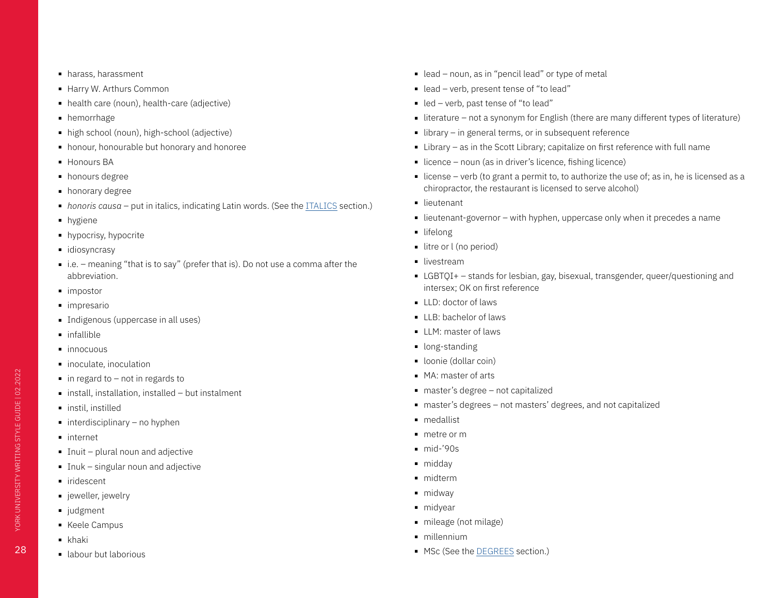- harass, harassment
- Harry W. Arthurs Common
- health care (noun), health-care (adjective)
- hemorrhage
- high school (noun), high-school (adjective)
- honour, honourable but honorary and honoree
- Honours BA
- honours degree
- honorary degree
- *honoris causa* put in italics, indicating Latin words. (See the ITALICS section.)
- hygiene
- hypocrisy, hypocrite
- idiosyncrasy
- i.e. meaning "that is to say" (prefer that is). Do not use a comma after the abbreviation.
- impostor
- impresario
- Indigenous (uppercase in all uses)
- infallible
- innocuous
- inoculate, inoculation
- $\blacksquare$  in regard to not in regards to
- install, installation, installed but instalment
- instil, instilled
- $\blacksquare$  interdisciplinary no hyphen
- internet
- Inuit plural noun and adjective
- Inuk singular noun and adjective
- iridescent
- jeweller, jewelry
- judgment
- Keele Campus
- khaki
- labour but laborious
- lead noun, as in "pencil lead" or type of metal
- lead verb, present tense of "to lead"
- led verb, past tense of "to lead"
- literature not a synonym for English (there are many different types of literature)
- library in general terms, or in subsequent reference
- Library as in the Scott Library; capitalize on first reference with full name
- licence noun (as in driver's licence, fishing licence)
- license verb (to grant a permit to, to authorize the use of; as in, he is licensed as a chiropractor, the restaurant is licensed to serve alcohol)
- lieutenant
- $\blacksquare$  lieutenant-governor with hyphen, uppercase only when it precedes a name
- lifelong
- litre or l (no period)
- livestream
- LGBTOI+ stands for lesbian, gay, bisexual, transgender, queer/questioning and intersex; OK on first reference
- LLD: doctor of laws
- LLB: bachelor of laws
- LLM: master of laws
- long-standing
- loonie (dollar coin)
- MA: master of arts
- master's degree not capitalized
- master's degrees not masters' degrees, and not capitalized
- medallist
- metre or m
- mid-'90s
- middav
- midterm
- midway
- midyear
- mileage (not milage)
- millennium
- MSc (See the DEGREES section.)

YORK UNIVERSITY WRITING STYLE GUIDE | 02.2022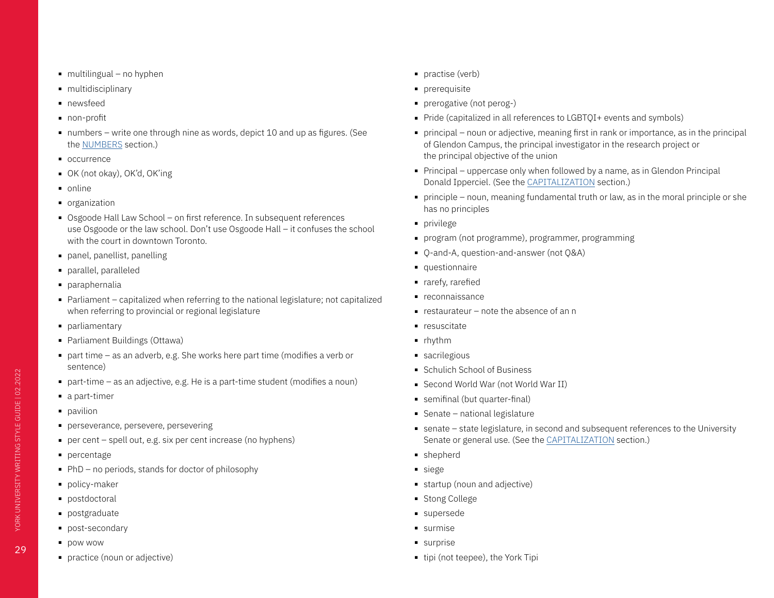- $\blacksquare$  multilingual no hyphen
- multidisciplinary
- newsfeed
- non-profit
- numbers write one through nine as words, depict 10 and up as figures. (See the NUMBERS section.)
- occurrence
- OK (not okay), OK'd, OK'ing
- online
- organization
- Osgoode Hall Law School on first reference. In subsequent references use Osgoode or the law school. Don't use Osgoode Hall – it confuses the school with the court in downtown Toronto.
- panel, panellist, panelling
- parallel, paralleled
- paraphernalia
- Parliament capitalized when referring to the national legislature; not capitalized when referring to provincial or regional legislature
- parliamentary
- Parliament Buildings (Ottawa)
- part time as an adverb, e.g. She works here part time (modifies a verb or sentence)
- part-time as an adjective, e.g. He is a part-time student (modifies a noun)
- a part-timer
- pavilion
- perseverance, persevere, persevering
- per cent spell out, e.g. six per cent increase (no hyphens)
- percentage
- PhD no periods, stands for doctor of philosophy
- policy-maker
- postdoctoral
- postgraduate
- post-secondary
- pow wow
- practice (noun or adjective)
- practise (verb)
- prerequisite
- prerogative (not perog-)
- Pride (capitalized in all references to LGBTOI+ events and symbols)
- principal noun or adjective, meaning first in rank or importance, as in the principal of Glendon Campus, the principal investigator in the research project or the principal objective of the union
- Principal uppercase only when followed by a name, as in Glendon Principal Donald Ipperciel. (See the [CAPITALIZATION](#page-7-2) section.)
- principle noun, meaning fundamental truth or law, as in the moral principle or she has no principles
- privilege
- program (not programme), programmer, programming
- O-and-A, question-and-answer (not Q&A)
- questionnaire
- rarefy, rarefied
- reconnaissance
- $\blacksquare$  restaurateur note the absence of an n
- resuscitate
- rhythm
- sacrilegious
- Schulich School of Business
- Second World War (not World War II)
- semifinal (but quarter-final)
- Senate national legislature
- senate state legislature, in second and subsequent references to the University Senate or general use. (See the [CAPITALIZATION](#page-7-2) section.)
- shepherd
- siege
- startup (noun and adjective)
- Stong College
- supersede
- surmise
- surprise
- tipi (not teepee), the York Tipi

YORK UNIVERSITY WRITING STYLE GUIDE | 02.2022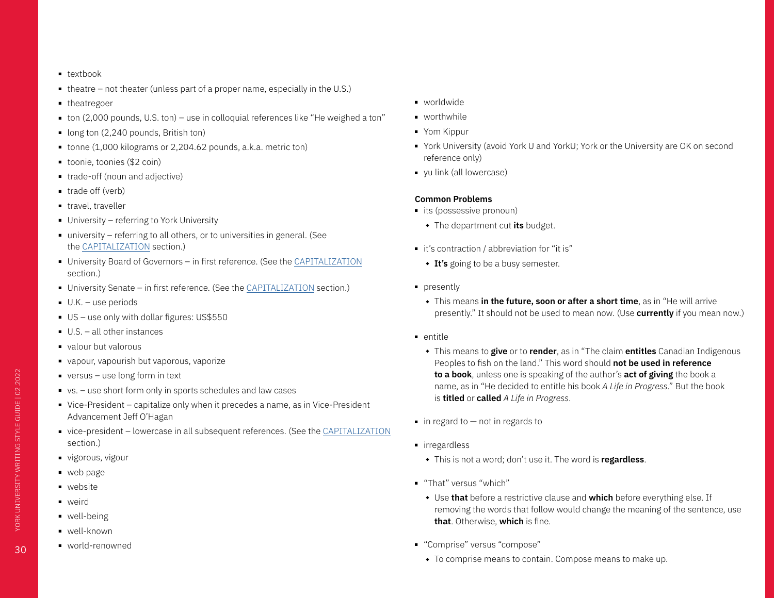- textbook
- $\blacksquare$  theatre not theater (unless part of a proper name, especially in the U.S.)
- theatregoer
- ton (2,000 pounds, U.S. ton) use in colloquial references like "He weighed a ton"
- long ton (2,240 pounds, British ton)
- tonne (1,000 kilograms or 2,204.62 pounds, a.k.a. metric ton)
- toonie, toonies (\$2 coin)
- trade-off (noun and adjective)
- trade off (verb)
- travel, traveller
- University referring to York University
- university referring to all others, or to universities in general. (See the [CAPITALIZATION](#page-7-2) section.)
- University Board of Governors in first reference. (See the [CAPITALIZATION](#page-7-2) section.)
- University Senate in first reference. (See the [CAPITALIZATION](#page-7-2) section.)
- U.K. use periods
- US use only with dollar figures: US\$550
- $\blacksquare$  U.S. all other instances
- valour but valorous
- vapour, vapourish but vaporous, vaporize
- versus use long form in text
- vs. use short form only in sports schedules and law cases
- Vice-President capitalize only when it precedes a name, as in Vice-President Advancement Jeff O'Hagan
- vice-president lowercase in all subsequent references. (See the [CAPITALIZATION](#page-7-2) section.)
- vigorous, vigour
- web page
- website
- weird
- well-being
- well-known
- world-renowned
- worldwide
- worthwhile
- Yom Kippur
- York University (avoid York U and YorkU; York or the University are OK on second reference only)
- yu link (all lowercase)

### **Common Problems**

- its (possessive pronoun)
	- $\bullet$  The department cut its budget.
- it's contraction / abbreviation for "it is"
	- **It's** going to be a busy semester.
- presently
	- **This means in the future, soon or after a short time**, as in "He will arrive presently." It should not be used to mean now. (Use **currently** if you mean now.)
- entitle
	- <sup>u</sup> This means to **give** or to **render**, as in "The claim **entitles** Canadian Indigenous Peoples to fish on the land." This word should **not be used in reference to a book**, unless one is speaking of the author's **act of giving** the book a name, as in "He decided to entitle his book *A Life in Progress*." But the book is **titled** or **called** *A Life in Progress*.
- $\blacksquare$  in regard to  $-$  not in regards to
- irregardless
	- $\bullet$  This is not a word; don't use it. The word is **regardless**.
- "That" versus "which"
	- **Use that** before a restrictive clause and which before everything else. If removing the words that follow would change the meaning of the sentence, use **that**. Otherwise, **which** is fine.
- "Comprise" versus "compose"
	- $\bullet$  To comprise means to contain. Compose means to make up.

30

YORK UNIVERSITY WRITING STYLE GUIDE | 02.2022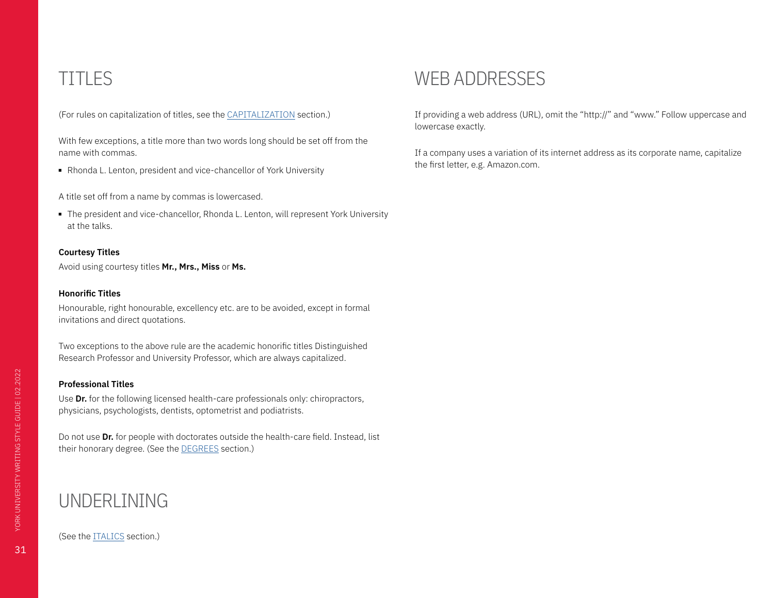## <span id="page-30-0"></span>TITLES

(For rules on capitalization of titles, see the [CAPITALIZATION](#page-7-2) section.)

With few exceptions, a title more than two words long should be set off from the name with commas.

■ Rhonda L. Lenton, president and vice-chancellor of York University

A title set off from a name by commas is lowercased.

■ The president and vice-chancellor, Rhonda L. Lenton, will represent York University at the talks.

#### **Courtesy Titles**

Avoid using courtesy titles **Mr., Mrs., Miss** or **Ms.**

#### **Honorific Titles**

Honourable, right honourable, excellency etc. are to be avoided, except in formal invitations and direct quotations.

Two exceptions to the above rule are the academic honorific titles Distinguished Research Professor and University Professor, which are always capitalized.

### **Professional Titles**

Use **Dr.** for the following licensed health-care professionals only: chiropractors, physicians, psychologists, dentists, optometrist and podiatrists.

Do not use **Dr.** for people with doctorates outside the health-care field. Instead, list their honorary degree. (See the DEGREES section.)

## UNDERLINING

### (See the ITALICS section.)

### WEB ADDRESSES

If providing a web address (URL), omit the "http://" and "www." Follow uppercase and lowercase exactly.

If a company uses a variation of its internet address as its corporate name, capitalize the first letter, e.g. Amazon.com.